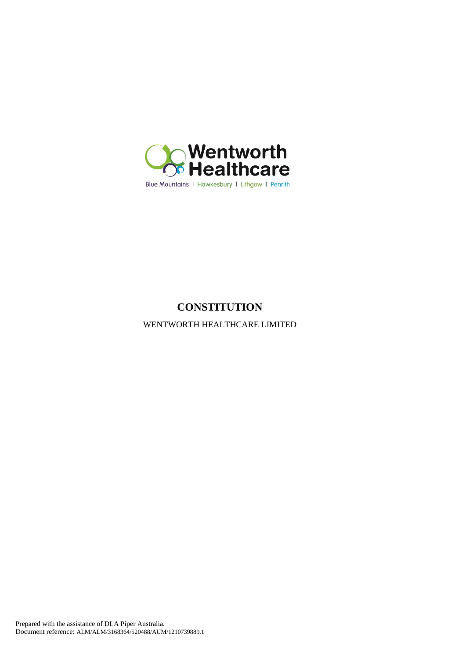

# **CONSTITUTION**

WENTWORTH HEALTHCARE LIMITED

Prepared with the assistance of DLA Piper Australia. Document reference: ALM/ALM/3168364/520488/AUM/1210739889.1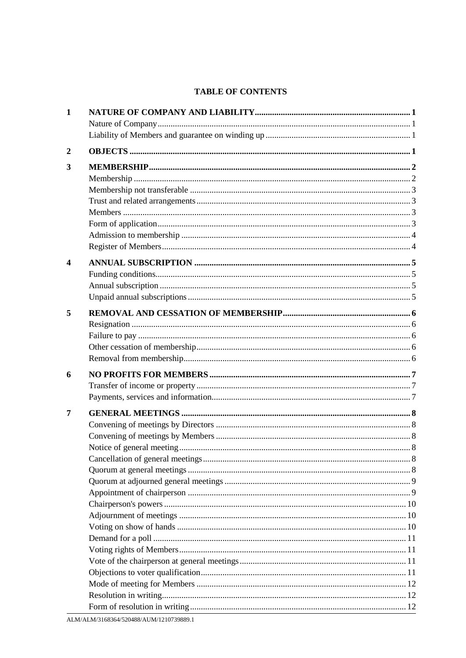# **TABLE OF CONTENTS**

| 1                |  |
|------------------|--|
|                  |  |
| $\boldsymbol{2}$ |  |
| 3                |  |
|                  |  |
|                  |  |
|                  |  |
|                  |  |
|                  |  |
|                  |  |
|                  |  |
| 4                |  |
|                  |  |
|                  |  |
|                  |  |
| 5                |  |
|                  |  |
|                  |  |
|                  |  |
|                  |  |
|                  |  |
| 6                |  |
|                  |  |
|                  |  |
| 7                |  |
|                  |  |
|                  |  |
|                  |  |
|                  |  |
|                  |  |
|                  |  |
|                  |  |
|                  |  |
|                  |  |
|                  |  |
|                  |  |
|                  |  |
|                  |  |
|                  |  |
|                  |  |
|                  |  |
|                  |  |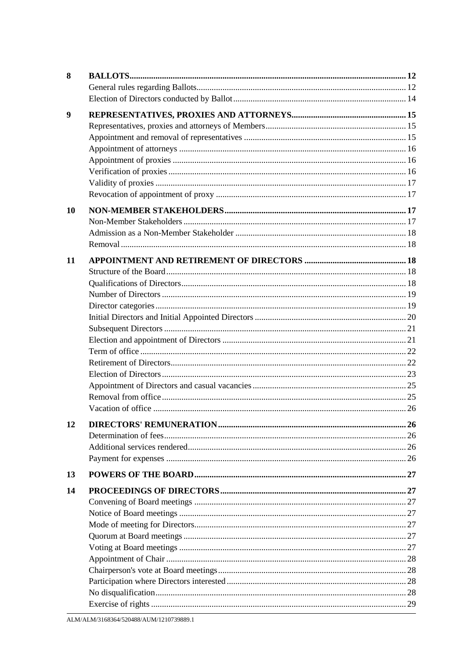| 8  |  |
|----|--|
|    |  |
|    |  |
| 9  |  |
|    |  |
|    |  |
|    |  |
|    |  |
|    |  |
|    |  |
|    |  |
| 10 |  |
|    |  |
|    |  |
|    |  |
|    |  |
| 11 |  |
|    |  |
|    |  |
|    |  |
|    |  |
|    |  |
|    |  |
|    |  |
|    |  |
|    |  |
|    |  |
|    |  |
|    |  |
|    |  |
| 12 |  |
|    |  |
|    |  |
|    |  |
| 13 |  |
| 14 |  |
|    |  |
|    |  |
|    |  |
|    |  |
|    |  |
|    |  |
|    |  |
|    |  |
|    |  |
|    |  |
|    |  |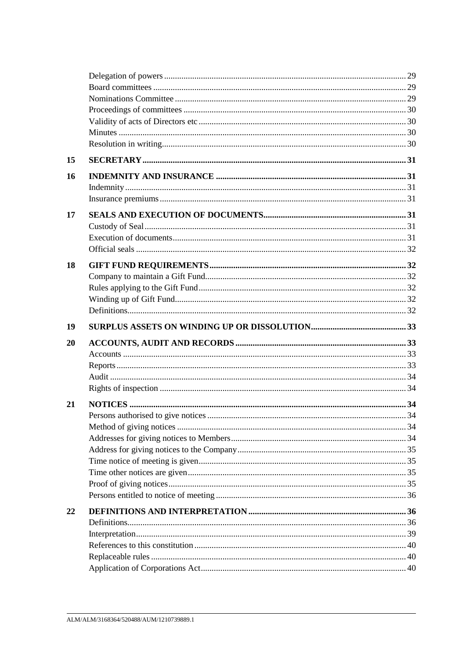| 15 |  |
|----|--|
| 16 |  |
|    |  |
|    |  |
| 17 |  |
|    |  |
|    |  |
|    |  |
| 18 |  |
|    |  |
|    |  |
|    |  |
|    |  |
| 19 |  |
| 20 |  |
|    |  |
|    |  |
|    |  |
|    |  |
| 21 |  |
|    |  |
|    |  |
|    |  |
|    |  |
|    |  |
|    |  |
|    |  |
|    |  |
|    |  |
| 22 |  |
|    |  |
|    |  |
|    |  |
|    |  |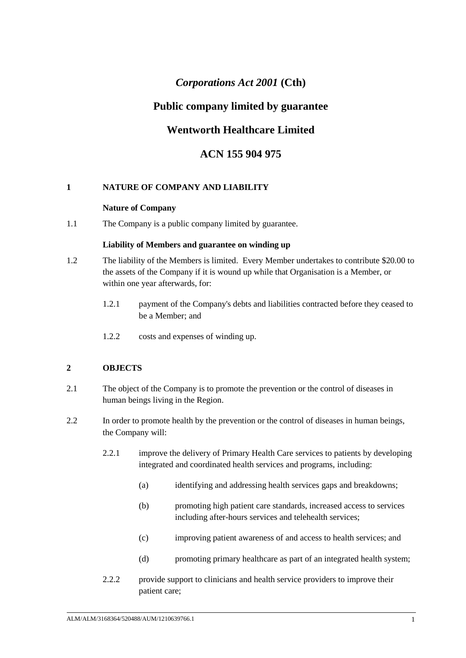# *Corporations Act 2001* **(Cth)**

# **Public company limited by guarantee**

# **Wentworth Healthcare Limited**

# **ACN 155 904 975**

# **1 NATURE OF COMPANY AND LIABILITY**

### **Nature of Company**

1.1 The Company is a public company limited by guarantee.

### **Liability of Members and guarantee on winding up**

- 1.2 The liability of the Members is limited. Every Member undertakes to contribute \$20.00 to the assets of the Company if it is wound up while that Organisation is a Member, or within one year afterwards, for:
	- 1.2.1 payment of the Company's debts and liabilities contracted before they ceased to be a Member; and
	- 1.2.2 costs and expenses of winding up.

# <span id="page-4-0"></span>**2 OBJECTS**

- 2.1 The object of the Company is to promote the prevention or the control of diseases in human beings living in the Region.
- 2.2 In order to promote health by the prevention or the control of diseases in human beings, the Company will:
	- 2.2.1 improve the delivery of Primary Health Care services to patients by developing integrated and coordinated health services and programs, including:
		- (a) identifying and addressing health services gaps and breakdowns;
		- (b) promoting high patient care standards, increased access to services including after-hours services and telehealth services;
		- (c) improving patient awareness of and access to health services; and
		- (d) promoting primary healthcare as part of an integrated health system;
	- 2.2.2 provide support to clinicians and health service providers to improve their patient care;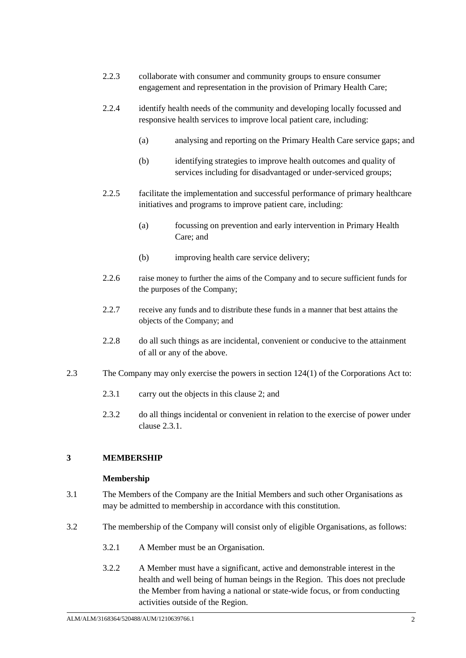- 2.2.3 collaborate with consumer and community groups to ensure consumer engagement and representation in the provision of Primary Health Care;
- 2.2.4 identify health needs of the community and developing locally focussed and responsive health services to improve local patient care, including:
	- (a) analysing and reporting on the Primary Health Care service gaps; and
	- services including for disadvantaged or under-serviced groups; (b) identifying strategies to improve health outcomes and quality of
- 2.2.5 facilitate the implementation and successful performance of primary healthcare initiatives and programs to improve patient care, including:
	- (a) focussing on prevention and early intervention in Primary Health Care; and
	- (b) improving health care service delivery;
- 2.2.6 raise money to further the aims of the Company and to secure sufficient funds for the purposes of the Company;
- 2.2.7 receive any funds and to distribute these funds in a manner that best attains the objects of the Company; and
- 2.2.8 do all such things as are incidental, convenient or conducive to the attainment of all or any of the above.
- <span id="page-5-0"></span>2.3 The Company may only exercise the powers in section 124(1) of the Corporations Act to:
	- 2.3.1 carry out the objects in this clause [2;](#page-4-0) and
	- 2.3.2 do all things incidental or convenient in relation to the exercise of power under clause [2.3.1.](#page-5-0)

# **3 MEMBERSHIP**

#### **Membership**

- 3.1 The Members of the Company are the Initial Members and such other Organisations as may be admitted to membership in accordance with this constitution.
- <span id="page-5-1"></span>3.2 The membership of the Company will consist only of eligible Organisations, as follows:
	- 3.2.1 A Member must be an Organisation.
	- 3.2.2 A Member must have a significant, active and demonstrable interest in the health and well being of human beings in the Region. This does not preclude the Member from having a national or state-wide focus, or from conducting activities outside of the Region.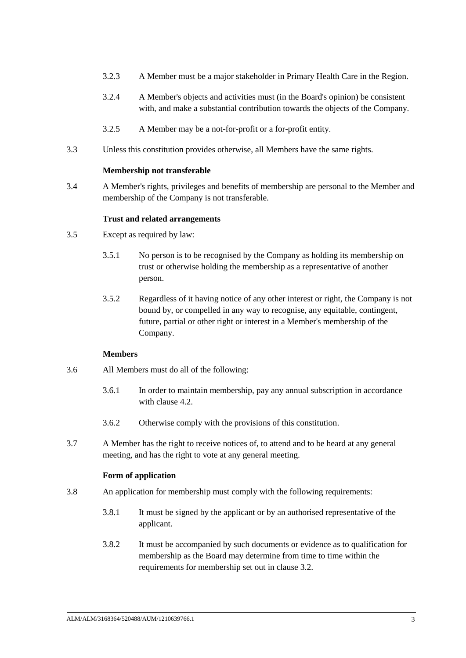- 3.2.3 A Member must be a major stakeholder in Primary Health Care in the Region.
- 3.2.4 A Member's objects and activities must (in the Board's opinion) be consistent with, and make a substantial contribution towards the objects of the Company.
- 3.2.5 A Member may be a not-for-profit or a for-profit entity.
- 3.3 Unless this constitution provides otherwise, all Members have the same rights.

#### **Membership not transferable**

3.4 A Member's rights, privileges and benefits of membership are personal to the Member and membership of the Company is not transferable.

#### **Trust and related arrangements**

- 3.5 Except as required by law:
	- 3.5.1 No person is to be recognised by the Company as holding its membership on trust or otherwise holding the membership as a representative of another person.
	- 3.5.2 Regardless of it having notice of any other interest or right, the Company is not bound by, or compelled in any way to recognise, any equitable, contingent, future, partial or other right or interest in a Member's membership of the Company.

#### **Members**

- 3.6 All Members must do all of the following:
	- 3.6.1 In order to maintain membership, pay any annual subscription in accordance with clause [4.2.](#page-8-0)
	- 3.6.2 Otherwise comply with the provisions of this constitution.
- 3.7 A Member has the right to receive notices of, to attend and to be heard at any general meeting, and has the right to vote at any general meeting.

#### **Form of application**

- 3.8 An application for membership must comply with the following requirements:
	- 3.8.1 It must be signed by the applicant or by an authorised representative of the applicant.
	- 3.8.2 It must be accompanied by such documents or evidence as to qualification for membership as the Board may determine from time to time within the requirements for membership set out in clause [3.2.](#page-5-1)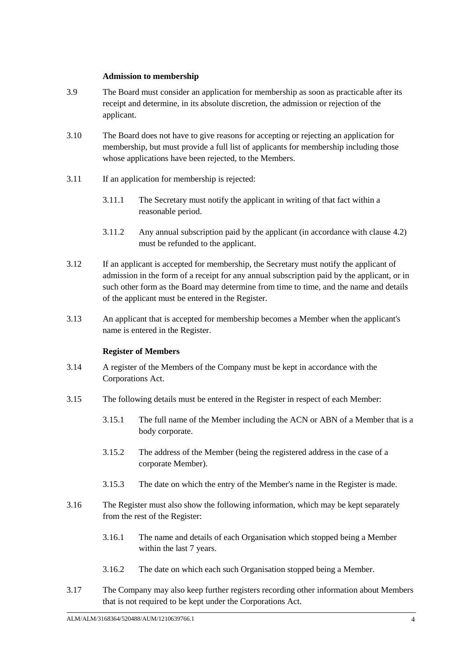### **Admission to membership**

- 3.9 The Board must consider an application for membership as soon as practicable after its receipt and determine, in its absolute discretion, the admission or rejection of the applicant.
- 3.10 The Board does not have to give reasons for accepting or rejecting an application for membership, but must provide a full list of applicants for membership including those whose applications have been rejected, to the Members.
- 3.11 If an application for membership is rejected:
	- 3.11.1 The Secretary must notify the applicant in writing of that fact within a reasonable period.
	- 3.11.2 Any annual subscription paid by the applicant (in accordance with clause [4.2\)](#page-8-0) must be refunded to the applicant.
- 3.12 If an applicant is accepted for membership, the Secretary must notify the applicant of admission in the form of a receipt for any annual subscription paid by the applicant, or in such other form as the Board may determine from time to time, and the name and details of the applicant must be entered in the Register.
- 3.13 An applicant that is accepted for membership becomes a Member when the applicant's name is entered in the Register.

# **Register of Members**

- 3.14 A register of the Members of the Company must be kept in accordance with the Corporations Act.
- 3.15 The following details must be entered in the Register in respect of each Member:
	- 3.15.1 The full name of the Member including the ACN or ABN of a Member that is a body corporate.
	- 3.15.2 The address of the Member (being the registered address in the case of a corporate Member).
	- 3.15.3 The date on which the entry of the Member's name in the Register is made.
- 3.16 The Register must also show the following information, which may be kept separately from the rest of the Register:
	- 3.16.1 The name and details of each Organisation which stopped being a Member within the last 7 years.
	- 3.16.2 The date on which each such Organisation stopped being a Member.
- <span id="page-7-0"></span>3.17 The Company may also keep further registers recording other information about Members that is not required to be kept under the Corporations Act.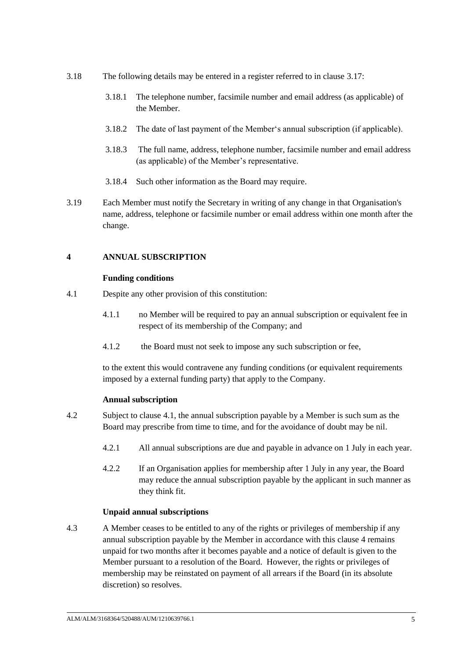- 3.18 The following details may be entered in a register referred to in clause [3.17:](#page-7-0)
	- 3.18.1 The telephone number, facsimile number and email address (as applicable) of the Member.
	- 3.18.2 The date of last payment of the Member's annual subscription (if applicable).
	- 3.18.3 The full name, address, telephone number, facsimile number and email address (as applicable) of the Member's representative.
	- 3.18.4 Such other information as the Board may require.
- 3.19 Each Member must notify the Secretary in writing of any change in that Organisation's name, address, telephone or facsimile number or email address within one month after the change.

# <span id="page-8-2"></span>**4 ANNUAL SUBSCRIPTION**

# **Funding conditions**

- <span id="page-8-1"></span>4.1 Despite any other provision of this constitution:
	- 4.1.1 no Member will be required to pay an annual subscription or equivalent fee in respect of its membership of the Company; and
	- 4.1.2 the Board must not seek to impose any such subscription or fee,

to the extent this would contravene any funding conditions (or equivalent requirements imposed by a external funding party) that apply to the Company.

#### **Annual subscription**

- <span id="page-8-3"></span><span id="page-8-0"></span>4.2 Subject to clause [4.1,](#page-8-1) the annual subscription payable by a Member is such sum as the Board may prescribe from time to time, and for the avoidance of doubt may be nil.
	- 4.2.1 All annual subscriptions are due and payable in advance on 1 July in each year.
	- 4.2.2 If an Organisation applies for membership after 1 July in any year, the Board may reduce the annual subscription payable by the applicant in such manner as they think fit.

# **Unpaid annual subscriptions**

<span id="page-8-4"></span>4.3 A Member ceases to be entitled to any of the rights or privileges of membership if any annual subscription payable by the Member in accordance with this clause [4](#page-8-2) remains unpaid for two months after it becomes payable and a notice of default is given to the Member pursuant to a resolution of the Board. However, the rights or privileges of membership may be reinstated on payment of all arrears if the Board (in its absolute discretion) so resolves.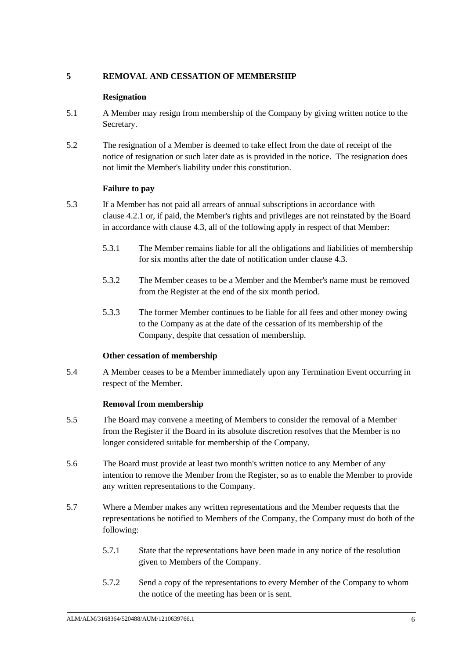# **5 REMOVAL AND CESSATION OF MEMBERSHIP**

# **Resignation**

- 5.1 A Member may resign from membership of the Company by giving written notice to the Secretary.
- 5.2 The resignation of a Member is deemed to take effect from the date of receipt of the notice of resignation or such later date as is provided in the notice. The resignation does not limit the Member's liability under this constitution.

# **Failure to pay**

- 5.3 If a Member has not paid all arrears of annual subscriptions in accordance with clause [4.2.1](#page-8-3) or, if paid, the Member's rights and privileges are not reinstated by the Board in accordance with clause [4.3,](#page-8-4) all of the following apply in respect of that Member:
	- 5.3.1 The Member remains liable for all the obligations and liabilities of membership for six months after the date of notification under clause [4.3.](#page-8-4)
	- 5.3.2 The Member ceases to be a Member and the Member's name must be removed from the Register at the end of the six month period.
	- 5.3.3 The former Member continues to be liable for all fees and other money owing to the Company as at the date of the cessation of its membership of the Company, despite that cessation of membership.

# **Other cessation of membership**

5.4 A Member ceases to be a Member immediately upon any Termination Event occurring in respect of the Member.

#### **Removal from membership**

- <span id="page-9-1"></span>5.5 The Board may convene a meeting of Members to consider the removal of a Member from the Register if the Board in its absolute discretion resolves that the Member is no longer considered suitable for membership of the Company.
- 5.6 The Board must provide at least two month's written notice to any Member of any intention to remove the Member from the Register, so as to enable the Member to provide any written representations to the Company.
- <span id="page-9-0"></span>5.7 Where a Member makes any written representations and the Member requests that the representations be notified to Members of the Company, the Company must do both of the following:
	- 5.7.1 State that the representations have been made in any notice of the resolution given to Members of the Company.
	- 5.7.2 Send a copy of the representations to every Member of the Company to whom the notice of the meeting has been or is sent.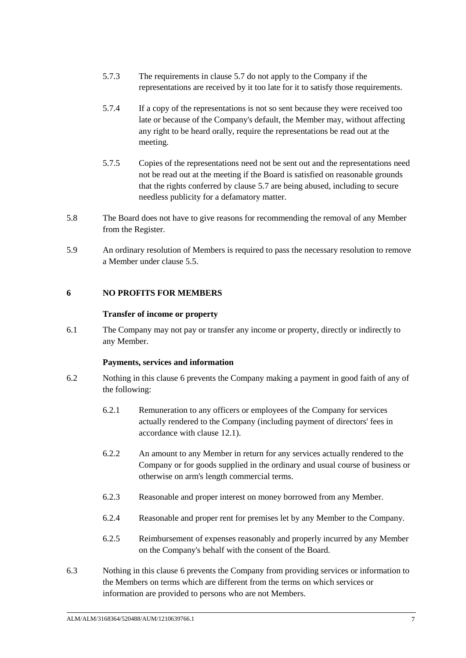- 5.7.3 The requirements in clause [5.7](#page-9-0) do not apply to the Company if the representations are received by it too late for it to satisfy those requirements.
- 5.7.4 If a copy of the representations is not so sent because they were received too late or because of the Company's default, the Member may, without affecting any right to be heard orally, require the representations be read out at the meeting.
- 5.7.5 Copies of the representations need not be sent out and the representations need not be read out at the meeting if the Board is satisfied on reasonable grounds that the rights conferred by clause [5.7](#page-9-0) are being abused, including to secure needless publicity for a defamatory matter.
- 5.8 The Board does not have to give reasons for recommending the removal of any Member from the Register.
- 5.9 An ordinary resolution of Members is required to pass the necessary resolution to remove a Member under clause [5.5.](#page-9-1)

### <span id="page-10-0"></span>**6 NO PROFITS FOR MEMBERS**

#### **Transfer of income or property**

6.1 The Company may not pay or transfer any income or property, directly or indirectly to any Member.

#### **Payments, services and information**

- 6.2 Nothing in this clause [6](#page-10-0) prevents the Company making a payment in good faith of any of the following:
	- 6.2.1 Remuneration to any officers or employees of the Company for services actually rendered to the Company (including payment of directors' fees in accordance with clause [12.1\)](#page-29-0).
	- 6.2.2 An amount to any Member in return for any services actually rendered to the Company or for goods supplied in the ordinary and usual course of business or otherwise on arm's length commercial terms.
	- 6.2.3 Reasonable and proper interest on money borrowed from any Member.
	- 6.2.4 Reasonable and proper rent for premises let by any Member to the Company.
	- 6.2.5 Reimbursement of expenses reasonably and properly incurred by any Member on the Company's behalf with the consent of the Board.
- 6.3 Nothing in this clause [6](#page-10-0) prevents the Company from providing services or information to the Members on terms which are different from the terms on which services or information are provided to persons who are not Members.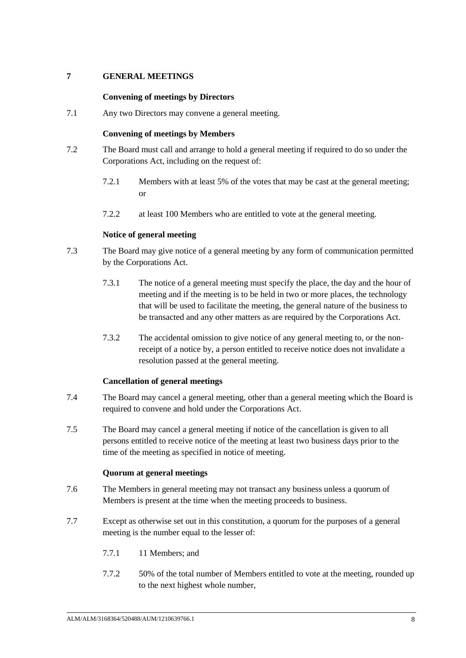# **7 GENERAL MEETINGS**

### **Convening of meetings by Directors**

7.1 Any two Directors may convene a general meeting.

### **Convening of meetings by Members**

- 7.2 The Board must call and arrange to hold a general meeting if required to do so under the Corporations Act, including on the request of:
	- 7.2.1 Members with at least 5% of the votes that may be cast at the general meeting; or
	- 7.2.2 at least 100 Members who are entitled to vote at the general meeting.

### **Notice of general meeting**

- 7.3 The Board may give notice of a general meeting by any form of communication permitted by the Corporations Act.
	- 7.3.1 The notice of a general meeting must specify the place, the day and the hour of meeting and if the meeting is to be held in two or more places, the technology that will be used to facilitate the meeting, the general nature of the business to be transacted and any other matters as are required by the Corporations Act.
	- 7.3.2 The accidental omission to give notice of any general meeting to, or the nonreceipt of a notice by, a person entitled to receive notice does not invalidate a resolution passed at the general meeting.

# **Cancellation of general meetings**

- 7.4 The Board may cancel a general meeting, other than a general meeting which the Board is required to convene and hold under the Corporations Act.
- 7.5 The Board may cancel a general meeting if notice of the cancellation is given to all persons entitled to receive notice of the meeting at least two business days prior to the time of the meeting as specified in notice of meeting.

#### **Quorum at general meetings**

- 7.6 The Members in general meeting may not transact any business unless a quorum of Members is present at the time when the meeting proceeds to business.
- 7.7 Except as otherwise set out in this constitution, a quorum for the purposes of a general meeting is the number equal to the lesser of:
	- 7.7.1 11 Members: and
	- 7.7.2 50% of the total number of Members entitled to vote at the meeting, rounded up to the next highest whole number,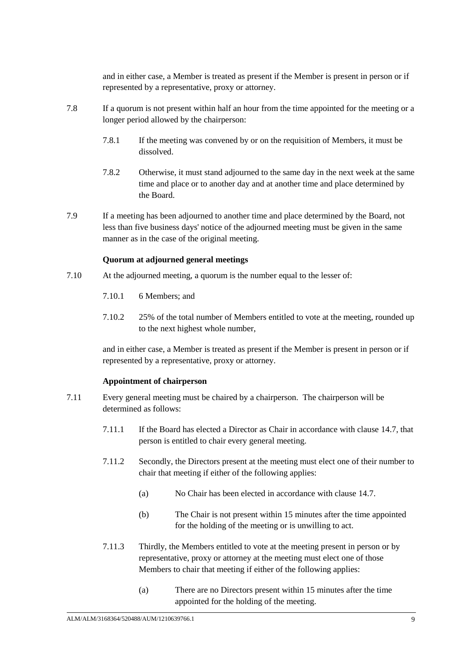and in either case, a Member is treated as present if the Member is present in person or if represented by a representative, proxy or attorney.

- 7.8 If a quorum is not present within half an hour from the time appointed for the meeting or a longer period allowed by the chairperson:
	- 7.8.1 If the meeting was convened by or on the requisition of Members, it must be dissolved.
	- 7.8.2 Otherwise, it must stand adjourned to the same day in the next week at the same time and place or to another day and at another time and place determined by the Board.
- 7.9 If a meeting has been adjourned to another time and place determined by the Board, not less than five business days' notice of the adjourned meeting must be given in the same manner as in the case of the original meeting.

### **Quorum at adjourned general meetings**

- 7.10 At the adjourned meeting, a quorum is the number equal to the lesser of:
	- 7.10.1 6 Members; and
	- 7.10.2 25% of the total number of Members entitled to vote at the meeting, rounded up to the next highest whole number,

and in either case, a Member is treated as present if the Member is present in person or if represented by a representative, proxy or attorney.

#### **Appointment of chairperson**

- 7.11 Every general meeting must be chaired by a chairperson. The chairperson will be determined as follows:
	- 7.11.1 If the Board has elected a Director as Chair in accordance with clause [14.7,](#page-31-0) that person is entitled to chair every general meeting.
	- 7.11.2 Secondly, the Directors present at the meeting must elect one of their number to chair that meeting if either of the following applies:
		- (a) No Chair has been elected in accordance with clause [14.7.](#page-31-0)
		- (b) The Chair is not present within 15 minutes after the time appointed for the holding of the meeting or is unwilling to act.
	- 7.11.3 Thirdly, the Members entitled to vote at the meeting present in person or by representative, proxy or attorney at the meeting must elect one of those Members to chair that meeting if either of the following applies:
		- (a) There are no Directors present within 15 minutes after the time appointed for the holding of the meeting.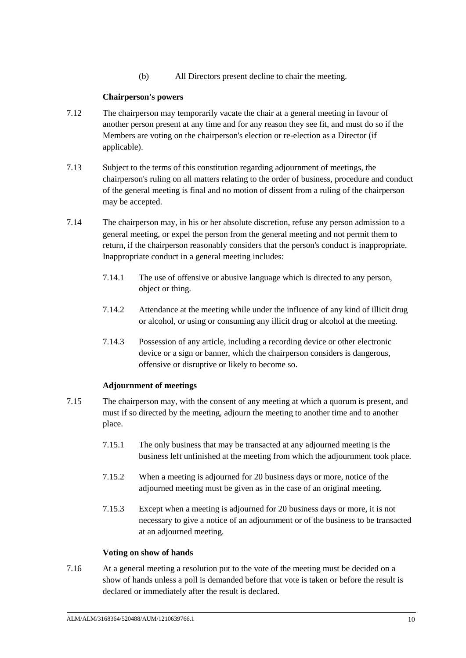(b) All Directors present decline to chair the meeting.

# **Chairperson's powers**

- 7.12 The chairperson may temporarily vacate the chair at a general meeting in favour of another person present at any time and for any reason they see fit, and must do so if the Members are voting on the chairperson's election or re-election as a Director (if applicable).
- 7.13 Subject to the terms of this constitution regarding adjournment of meetings, the chairperson's ruling on all matters relating to the order of business, procedure and conduct of the general meeting is final and no motion of dissent from a ruling of the chairperson may be accepted.
- 7.14 The chairperson may, in his or her absolute discretion, refuse any person admission to a general meeting, or expel the person from the general meeting and not permit them to return, if the chairperson reasonably considers that the person's conduct is inappropriate. Inappropriate conduct in a general meeting includes:
	- 7.14.1 The use of offensive or abusive language which is directed to any person, object or thing.
	- 7.14.2 Attendance at the meeting while under the influence of any kind of illicit drug or alcohol, or using or consuming any illicit drug or alcohol at the meeting.
	- 7.14.3 Possession of any article, including a recording device or other electronic device or a sign or banner, which the chairperson considers is dangerous, offensive or disruptive or likely to become so.

# **Adjournment of meetings**

- 7.15 The chairperson may, with the consent of any meeting at which a quorum is present, and must if so directed by the meeting, adjourn the meeting to another time and to another place.
	- 7.15.1 The only business that may be transacted at any adjourned meeting is the business left unfinished at the meeting from which the adjournment took place.
	- 7.15.2 When a meeting is adjourned for 20 business days or more, notice of the adjourned meeting must be given as in the case of an original meeting.
	- 7.15.3 Except when a meeting is adjourned for 20 business days or more, it is not necessary to give a notice of an adjournment or of the business to be transacted at an adjourned meeting.

# **Voting on show of hands**

7.16 At a general meeting a resolution put to the vote of the meeting must be decided on a show of hands unless a poll is demanded before that vote is taken or before the result is declared or immediately after the result is declared.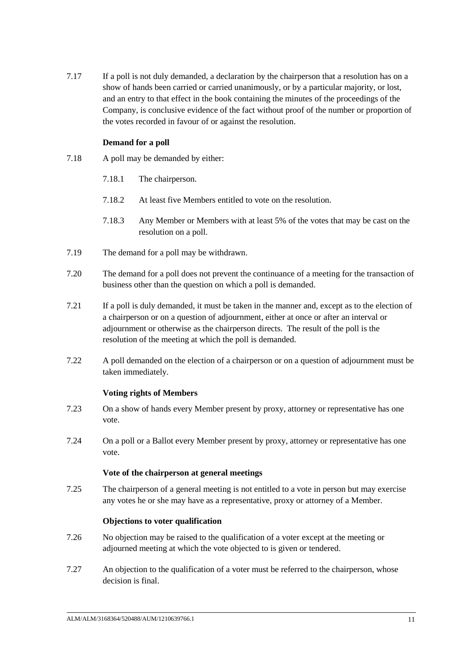7.17 If a poll is not duly demanded, a declaration by the chairperson that a resolution has on a show of hands been carried or carried unanimously, or by a particular majority, or lost, and an entry to that effect in the book containing the minutes of the proceedings of the Company, is conclusive evidence of the fact without proof of the number or proportion of the votes recorded in favour of or against the resolution.

# **Demand for a poll**

- 7.18 A poll may be demanded by either:
	- 7.18.1 The chairperson.
	- 7.18.2 At least five Members entitled to vote on the resolution.
	- 7.18.3 Any Member or Members with at least 5% of the votes that may be cast on the resolution on a poll.
- 7.19 The demand for a poll may be withdrawn.
- 7.20 The demand for a poll does not prevent the continuance of a meeting for the transaction of business other than the question on which a poll is demanded.
- 7.21 If a poll is duly demanded, it must be taken in the manner and, except as to the election of a chairperson or on a question of adjournment, either at once or after an interval or adjournment or otherwise as the chairperson directs. The result of the poll is the resolution of the meeting at which the poll is demanded.
- 7.22 A poll demanded on the election of a chairperson or on a question of adjournment must be taken immediately.

#### **Voting rights of Members**

- <span id="page-14-0"></span>7.23 On a show of hands every Member present by proxy, attorney or representative has one vote.
- <span id="page-14-1"></span>7.24 On a poll or a Ballot every Member present by proxy, attorney or representative has one vote.

#### **Vote of the chairperson at general meetings**

7.25 The chairperson of a general meeting is not entitled to a vote in person but may exercise any votes he or she may have as a representative, proxy or attorney of a Member.

#### **Objections to voter qualification**

- 7.26 No objection may be raised to the qualification of a voter except at the meeting or adjourned meeting at which the vote objected to is given or tendered.
- 7.27 An objection to the qualification of a voter must be referred to the chairperson, whose decision is final.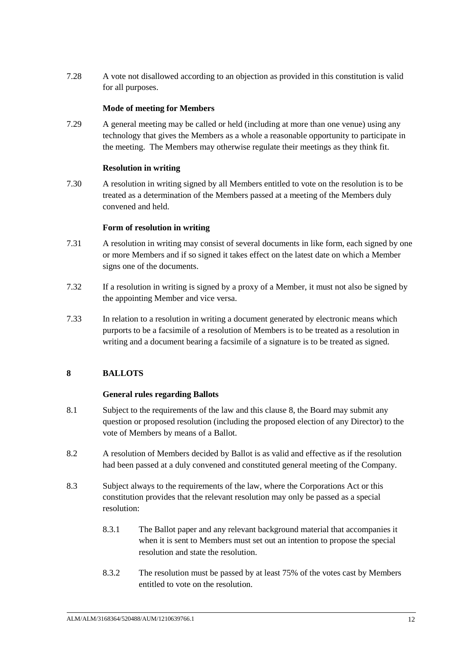7.28 A vote not disallowed according to an objection as provided in this constitution is valid for all purposes.

### **Mode of meeting for Members**

7.29 A general meeting may be called or held (including at more than one venue) using any technology that gives the Members as a whole a reasonable opportunity to participate in the meeting. The Members may otherwise regulate their meetings as they think fit.

#### **Resolution in writing**

7.30 A resolution in writing signed by all Members entitled to vote on the resolution is to be treated as a determination of the Members passed at a meeting of the Members duly convened and held.

### **Form of resolution in writing**

- 7.31 A resolution in writing may consist of several documents in like form, each signed by one or more Members and if so signed it takes effect on the latest date on which a Member signs one of the documents.
- 7.32 If a resolution in writing is signed by a proxy of a Member, it must not also be signed by the appointing Member and vice versa.
- 7.33 In relation to a resolution in writing a document generated by electronic means which purports to be a facsimile of a resolution of Members is to be treated as a resolution in writing and a document bearing a facsimile of a signature is to be treated as signed.

# <span id="page-15-0"></span>**8 BALLOTS**

# **General rules regarding Ballots**

- <span id="page-15-2"></span>8.1 Subject to the requirements of the law and this clause [8,](#page-15-0) the Board may submit any question or proposed resolution (including the proposed election of any Director) to the vote of Members by means of a Ballot.
- 8.2 A resolution of Members decided by Ballot is as valid and effective as if the resolution had been passed at a duly convened and constituted general meeting of the Company.
- <span id="page-15-1"></span>8.3 Subject always to the requirements of the law, where the Corporations Act or this constitution provides that the relevant resolution may only be passed as a special resolution:
	- 8.3.1 The Ballot paper and any relevant background material that accompanies it when it is sent to Members must set out an intention to propose the special resolution and state the resolution.
	- 8.3.2 The resolution must be passed by at least 75% of the votes cast by Members entitled to vote on the resolution.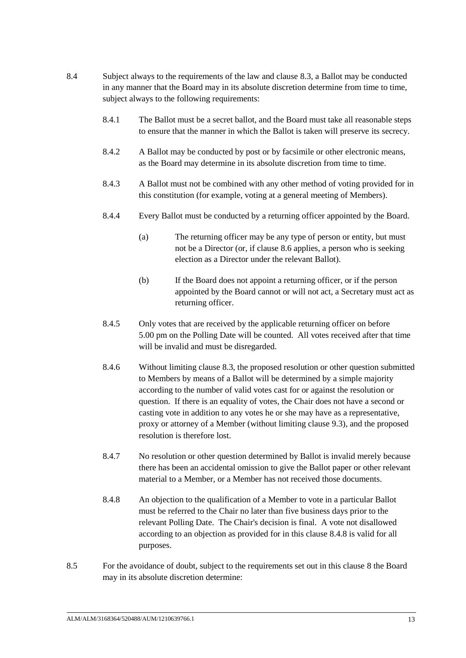- 8.4 Subject always to the requirements of the law and clause [8.3,](#page-15-1) a Ballot may be conducted in any manner that the Board may in its absolute discretion determine from time to time, subject always to the following requirements:
	- 8.4.1 The Ballot must be a secret ballot, and the Board must take all reasonable steps to ensure that the manner in which the Ballot is taken will preserve its secrecy.
	- as the Board may determine in its absolute discretion from time to time. 8.4.2 A Ballot may be conducted by post or by facsimile or other electronic means,
	- 8.4.3 A Ballot must not be combined with any other method of voting provided for in this constitution (for example, voting at a general meeting of Members).
	- 8.4.4 Every Ballot must be conducted by a returning officer appointed by the Board.
		- (a) The returning officer may be any type of person or entity, but must not be a Director (or, if clause [8.6](#page-17-0) applies, a person who is seeking election as a Director under the relevant Ballot).
		- (b) If the Board does not appoint a returning officer, or if the person appointed by the Board cannot or will not act, a Secretary must act as returning officer.
	- 8.4.5 Only votes that are received by the applicable returning officer on before 5.00 pm on the Polling Date will be counted. All votes received after that time will be invalid and must be disregarded.
	- 8.4.6 Without limiting clause [8.3,](#page-15-1) the proposed resolution or other question submitted to Members by means of a Ballot will be determined by a simple majority according to the number of valid votes cast for or against the resolution or question. If there is an equality of votes, the Chair does not have a second or casting vote in addition to any votes he or she may have as a representative, proxy or attorney of a Member (without limiting clause [9.3\)](#page-18-0), and the proposed resolution is therefore lost.
	- 8.4.7 No resolution or other question determined by Ballot is invalid merely because there has been an accidental omission to give the Ballot paper or other relevant material to a Member, or a Member has not received those documents.
	- 8.4.8 An objection to the qualification of a Member to vote in a particular Ballot must be referred to the Chair no later than five business days prior to the relevant Polling Date. The Chair's decision is final. A vote not disallowed according to an objection as provided for in this clause [8.4.8](#page-16-0) is valid for all purposes.
- <span id="page-16-1"></span><span id="page-16-0"></span>8.5 For the avoidance of doubt, subject to the requirements set out in this clause [8](#page-15-0) the Board may in its absolute discretion determine: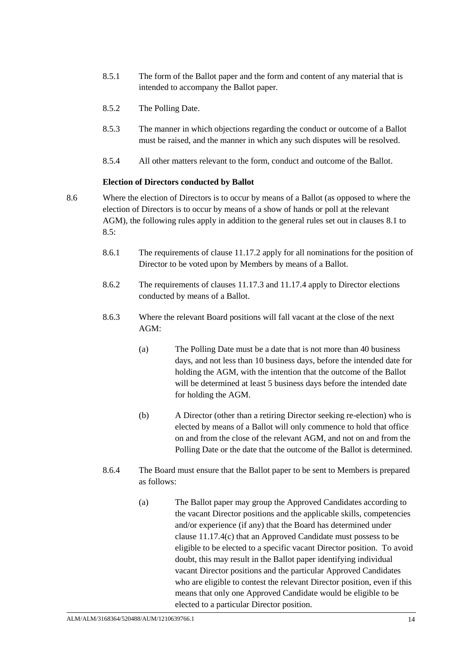- 8.5.1 The form of the Ballot paper and the form and content of any material that is intended to accompany the Ballot paper.
- 8.5.2 The Polling Date.
- 8.5.3 The manner in which objections regarding the conduct or outcome of a Ballot must be raised, and the manner in which any such disputes will be resolved.
- $\mathbf{c}$  Danon 8.5.4 All other matters relevant to the form, conduct and outcome of the Ballot.

### **Election of Directors conducted by Ballot**

- <span id="page-17-1"></span><span id="page-17-0"></span>8.6 Where the election of Directors is to occur by means of a Ballot (as opposed to where the election of Directors is to occur by means of a show of hands or poll at the relevant AGM), the following rules apply in addition to the general rules set out in clauses [8.1](#page-15-2) to [8.5:](#page-16-1)
	- 8.6.1 The requirements of clause [11.17.2](#page-26-0) apply for all nominations for the position of Director to be voted upon by Members by means of a Ballot.
	- 8.6.2 The requirements of clauses [11.17.3](#page-26-1) and [11.17.4](#page-26-2) apply to Director elections conducted by means of a Ballot.
	- 8.6.3 Where the relevant Board positions will fall vacant at the close of the next AGM:
		- (a) The Polling Date must be a date that is not more than 40 business days, and not less than 10 business days, before the intended date for holding the AGM, with the intention that the outcome of the Ballot will be determined at least 5 business days before the intended date for holding the AGM.
		- (b) A Director (other than a retiring Director seeking re-election) who is elected by means of a Ballot will only commence to hold that office on and from the close of the relevant AGM, and not on and from the Polling Date or the date that the outcome of the Ballot is determined.
	- 8.6.4 The Board must ensure that the Ballot paper to be sent to Members is prepared as follows:
		- (a) The Ballot paper may group the Approved Candidates according to the vacant Director positions and the applicable skills, competencies and/or experience (if any) that the Board has determined under clause [11.17.4\(c\)](#page-27-0) that an Approved Candidate must possess to be eligible to be elected to a specific vacant Director position. To avoid doubt, this may result in the Ballot paper identifying individual vacant Director positions and the particular Approved Candidates who are eligible to contest the relevant Director position, even if this means that only one Approved Candidate would be eligible to be elected to a particular Director position.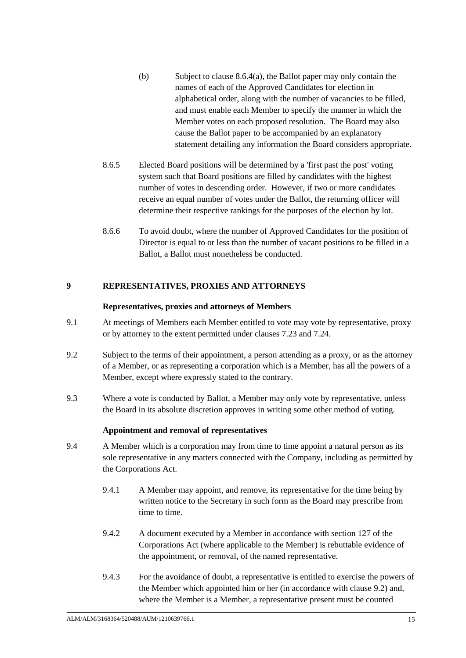- (b) Subject to clause [8.6.4\(a\),](#page-17-1) the Ballot paper may only contain the names of each of the Approved Candidates for election in alphabetical order, along with the number of vacancies to be filled, and must enable each Member to specify the manner in which the Member votes on each proposed resolution. The Board may also cause the Ballot paper to be accompanied by an explanatory statement detailing any information the Board considers appropriate.
- 8.6.5 Elected Board positions will be determined by a 'first past the post' voting system such that Board positions are filled by candidates with the highest number of votes in descending order. However, if two or more candidates receive an equal number of votes under the Ballot, the returning officer will determine their respective rankings for the purposes of the election by lot.
- 8.6.6 To avoid doubt, where the number of Approved Candidates for the position of Director is equal to or less than the number of vacant positions to be filled in a Ballot, a Ballot must nonetheless be conducted.

# **9 REPRESENTATIVES, PROXIES AND ATTORNEYS**

### **Representatives, proxies and attorneys of Members**

- 9.1 At meetings of Members each Member entitled to vote may vote by representative, proxy or by attorney to the extent permitted under clauses [7.23](#page-14-0) an[d 7.24.](#page-14-1)
- <span id="page-18-1"></span>9.2 Subject to the terms of their appointment, a person attending as a proxy, or as the attorney of a Member, or as representing a corporation which is a Member, has all the powers of a Member, except where expressly stated to the contrary.
- <span id="page-18-0"></span>9.3 Where a vote is conducted by Ballot, a Member may only vote by representative, unless the Board in its absolute discretion approves in writing some other method of voting.

# **Appointment and removal of representatives**

- 9.4 A Member which is a corporation may from time to time appoint a natural person as its sole representative in any matters connected with the Company, including as permitted by the Corporations Act.
	- 9.4.1 A Member may appoint, and remove, its representative for the time being by written notice to the Secretary in such form as the Board may prescribe from time to time.
	- 9.4.2 A document executed by a Member in accordance with section 127 of the Corporations Act (where applicable to the Member) is rebuttable evidence of the appointment, or removal, of the named representative.
	- 9.4.3 For the avoidance of doubt, a representative is entitled to exercise the powers of the Member which appointed him or her (in accordance with clause [9.2\)](#page-18-1) and, where the Member is a Member, a representative present must be counted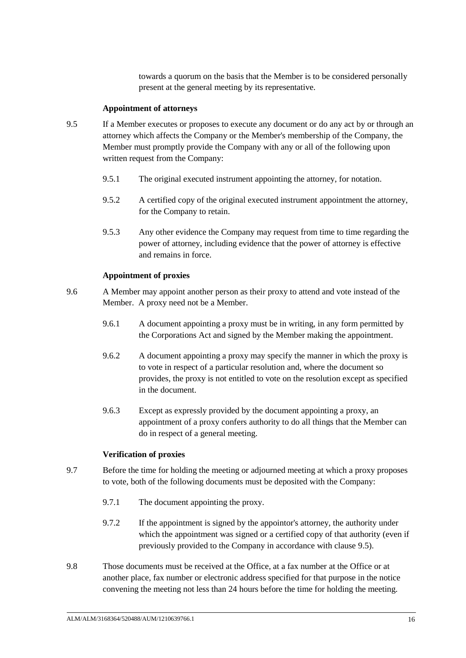towards a quorum on the basis that the Member is to be considered personally present at the general meeting by its representative.

#### **Appointment of attorneys**

- <span id="page-19-0"></span>9.5 If a Member executes or proposes to execute any document or do any act by or through an attorney which affects the Company or the Member's membership of the Company, the Member must promptly provide the Company with any or all of the following upon written request from the Company:
	- 9.5.1 The original executed instrument appointing the attorney, for notation.
	- 9.5.2 A certified copy of the original executed instrument appointment the attorney, for the Company to retain.
	- 9.5.3 Any other evidence the Company may request from time to time regarding the power of attorney, including evidence that the power of attorney is effective and remains in force.

### **Appointment of proxies**

- 9.6 A Member may appoint another person as their proxy to attend and vote instead of the Member. A proxy need not be a Member.
	- 9.6.1 A document appointing a proxy must be in writing, in any form permitted by the Corporations Act and signed by the Member making the appointment.
	- 9.6.2 A document appointing a proxy may specify the manner in which the proxy is to vote in respect of a particular resolution and, where the document so provides, the proxy is not entitled to vote on the resolution except as specified in the document.
	- 9.6.3 Except as expressly provided by the document appointing a proxy, an appointment of a proxy confers authority to do all things that the Member can do in respect of a general meeting.

#### **Verification of proxies**

- 9.7 Before the time for holding the meeting or adjourned meeting at which a proxy proposes to vote, both of the following documents must be deposited with the Company:
	- 9.7.1 The document appointing the proxy.
	- 9.7.2 If the appointment is signed by the appointor's attorney, the authority under which the appointment was signed or a certified copy of that authority (even if previously provided to the Company in accordance with clause [9.5\)](#page-19-0).
- 9.8 Those documents must be received at the Office, at a fax number at the Office or at another place, fax number or electronic address specified for that purpose in the notice convening the meeting not less than 24 hours before the time for holding the meeting.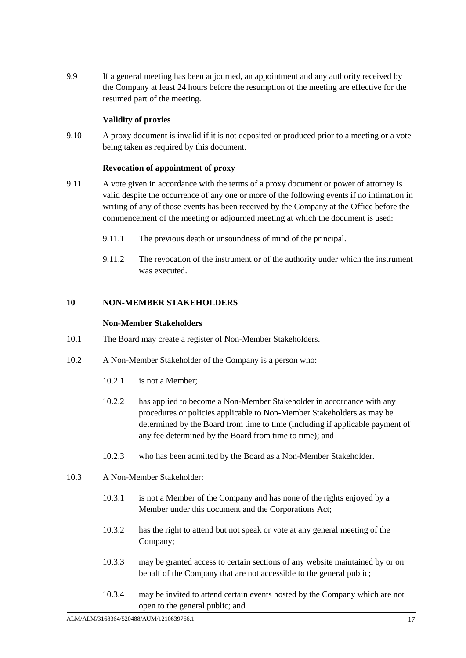9.9 If a general meeting has been adjourned, an appointment and any authority received by the Company at least 24 hours before the resumption of the meeting are effective for the resumed part of the meeting.

# **Validity of proxies**

9.10 A proxy document is invalid if it is not deposited or produced prior to a meeting or a vote being taken as required by this document.

# **Revocation of appointment of proxy**

- 9.11 A vote given in accordance with the terms of a proxy document or power of attorney is valid despite the occurrence of any one or more of the following events if no intimation in writing of any of those events has been received by the Company at the Office before the commencement of the meeting or adjourned meeting at which the document is used:
	- 9.11.1 The previous death or unsoundness of mind of the principal.
	- 9.11.2 The revocation of the instrument or of the authority under which the instrument was executed.

# <span id="page-20-0"></span>**10 NON-MEMBER STAKEHOLDERS**

### **Non-Member Stakeholders**

- <span id="page-20-1"></span>10.1 The Board may create a register of Non-Member Stakeholders.
- 10.2 A Non-Member Stakeholder of the Company is a person who:
	- 10.2.1 is not a Member;
	- 10.2.2 has applied to become a Non-Member Stakeholder in accordance with any procedures or policies applicable to Non-Member Stakeholders as may be determined by the Board from time to time (including if applicable payment of any fee determined by the Board from time to time); and
	- 10.2.3 who has been admitted by the Board as a Non-Member Stakeholder.
- 10.3 A Non-Member Stakeholder:
	- 10.3.1 is not a Member of the Company and has none of the rights enjoyed by a Member under this document and the Corporations Act;
	- 10.3.2 has the right to attend but not speak or vote at any general meeting of the Company;
	- 10.3.3 may be granted access to certain sections of any website maintained by or on behalf of the Company that are not accessible to the general public;
	- 10.3.4 may be invited to attend certain events hosted by the Company which are not open to the general public; and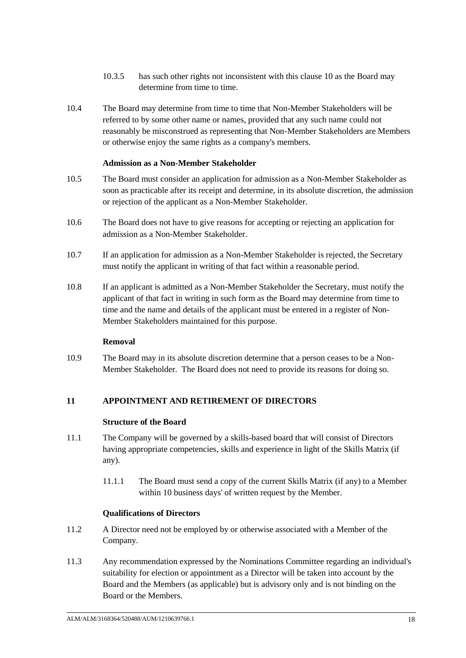- 10.3.5 has such other rights not inconsistent with this clause [10](#page-20-0) as the Board may determine from time to time.
- 10.4 The Board may determine from time to time that Non-Member Stakeholders will be referred to by some other name or names, provided that any such name could not reasonably be misconstrued as representing that Non-Member Stakeholders are Members or otherwise enjoy the same rights as a company's members.

### **Admission as a Non-Member Stakeholder**

- 10.5 The Board must consider an application for admission as a Non-Member Stakeholder as soon as practicable after its receipt and determine, in its absolute discretion, the admission or rejection of the applicant as a Non-Member Stakeholder.
- 10.6 The Board does not have to give reasons for accepting or rejecting an application for admission as a Non-Member Stakeholder.
- 10.7 If an application for admission as a Non-Member Stakeholder is rejected, the Secretary must notify the applicant in writing of that fact within a reasonable period.
- 10.8 If an applicant is admitted as a Non-Member Stakeholder the Secretary, must notify the applicant of that fact in writing in such form as the Board may determine from time to time and the name and details of the applicant must be entered in a register of Non-Member Stakeholders maintained for this purpose.

# **Removal**

10.9 The Board may in its absolute discretion determine that a person ceases to be a Non-Member Stakeholder. The Board does not need to provide its reasons for doing so.

# <span id="page-21-0"></span>**11 APPOINTMENT AND RETIREMENT OF DIRECTORS**

# **Structure of the Board**

- 11.1 The Company will be governed by a skills-based board that will consist of Directors having appropriate competencies, skills and experience in light of the Skills Matrix (if any).
	- 11.1.1 The Board must send a copy of the current Skills Matrix (if any) to a Member within 10 business days' of written request by the Member.

# **Qualifications of Directors**

- 11.2 A Director need not be employed by or otherwise associated with a Member of the Company.
- 11.3 Any recommendation expressed by the Nominations Committee regarding an individual's suitability for election or appointment as a Director will be taken into account by the Board and the Members (as applicable) but is advisory only and is not binding on the Board or the Members.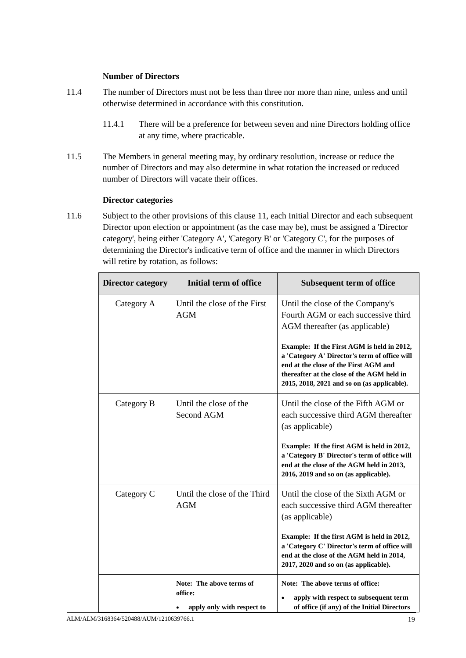### **Number of Directors**

- 11.4 The number of Directors must not be less than three nor more than nine, unless and until otherwise determined in accordance with this constitution.
	- 11.4.1 There will be a preference for between seven and nine Directors holding office at any time, where practicable.
- number of Directors and may also determine in what rotation the increased or reduced 11.5 The Members in general meeting may, by ordinary resolution, increase or reduce the number of Directors will vacate their offices.

### **Director categories**

<span id="page-22-0"></span>11.6 Subject to the other provisions of this clause [11,](#page-21-0) each Initial Director and each subsequent Director upon election or appointment (as the case may be), must be assigned a 'Director category', being either 'Category A', 'Category B' or 'Category C', for the purposes of determining the Director's indicative term of office and the manner in which Directors will retire by rotation, as follows:

| <b>Director category</b> | Initial term of office                                            | <b>Subsequent term of office</b>                                                                                                                                                                                                  |
|--------------------------|-------------------------------------------------------------------|-----------------------------------------------------------------------------------------------------------------------------------------------------------------------------------------------------------------------------------|
| Category A               | Until the close of the First<br><b>AGM</b>                        | Until the close of the Company's<br>Fourth AGM or each successive third<br>AGM thereafter (as applicable)                                                                                                                         |
|                          |                                                                   | Example: If the First AGM is held in 2012,<br>a 'Category A' Director's term of office will<br>end at the close of the First AGM and<br>thereafter at the close of the AGM held in<br>2015, 2018, 2021 and so on (as applicable). |
| Category B               | Until the close of the<br>Second AGM                              | Until the close of the Fifth AGM or<br>each successive third AGM thereafter<br>(as applicable)                                                                                                                                    |
|                          |                                                                   | Example: If the first AGM is held in 2012,<br>a 'Category B' Director's term of office will<br>end at the close of the AGM held in 2013,<br>2016, 2019 and so on (as applicable).                                                 |
| Category C               | Until the close of the Third<br><b>AGM</b>                        | Until the close of the Sixth AGM or<br>each successive third AGM thereafter<br>(as applicable)                                                                                                                                    |
|                          |                                                                   | Example: If the first AGM is held in 2012,<br>a 'Category C' Director's term of office will<br>end at the close of the AGM held in 2014,<br>2017, 2020 and so on (as applicable).                                                 |
|                          | Note: The above terms of<br>office:<br>apply only with respect to | Note: The above terms of office:<br>apply with respect to subsequent term<br>of office (if any) of the Initial Directors                                                                                                          |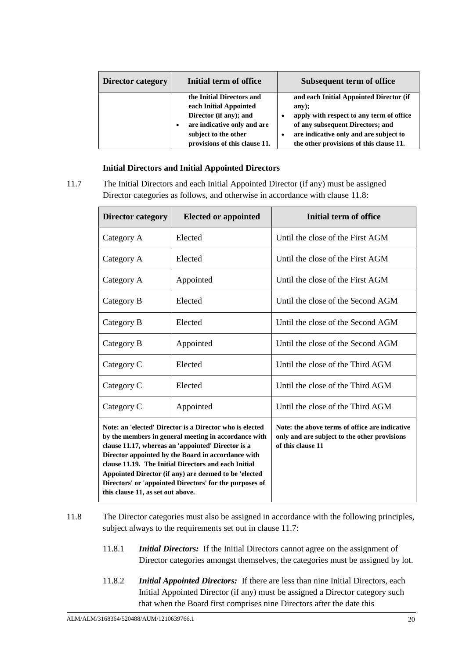| <b>Director category</b> | Initial term of office                                                                                                                                                             | Subsequent term of office                                                                                                                                                                                             |
|--------------------------|------------------------------------------------------------------------------------------------------------------------------------------------------------------------------------|-----------------------------------------------------------------------------------------------------------------------------------------------------------------------------------------------------------------------|
|                          | the Initial Directors and<br>each Initial Appointed<br>Director (if any); and<br>are indicative only and are<br>$\bullet$<br>subject to the other<br>provisions of this clause 11. | and each Initial Appointed Director (if<br>any);<br>apply with respect to any term of office<br>of any subsequent Directors; and<br>are indicative only and are subject to<br>the other provisions of this clause 11. |

### **Initial Directors and Initial Appointed Directors**

<span id="page-23-1"></span>11.7 The Initial Directors and each Initial Appointed Director (if any) must be assigned Director categories as follows, and otherwise in accordance with clause [11.8:](#page-23-0)

| <b>Director category</b>          | <b>Elected or appointed</b>                                                                                                                                                                                                                                                                                                                                                                              | <b>Initial term of office</b>                                                                                       |
|-----------------------------------|----------------------------------------------------------------------------------------------------------------------------------------------------------------------------------------------------------------------------------------------------------------------------------------------------------------------------------------------------------------------------------------------------------|---------------------------------------------------------------------------------------------------------------------|
| Category A                        | Elected                                                                                                                                                                                                                                                                                                                                                                                                  | Until the close of the First AGM                                                                                    |
| Category A                        | Elected                                                                                                                                                                                                                                                                                                                                                                                                  | Until the close of the First AGM                                                                                    |
| Category A                        | Appointed                                                                                                                                                                                                                                                                                                                                                                                                | Until the close of the First AGM                                                                                    |
| Category B                        | Elected                                                                                                                                                                                                                                                                                                                                                                                                  | Until the close of the Second AGM                                                                                   |
| Category B                        | Elected                                                                                                                                                                                                                                                                                                                                                                                                  | Until the close of the Second AGM                                                                                   |
| Category B                        | Appointed                                                                                                                                                                                                                                                                                                                                                                                                | Until the close of the Second AGM                                                                                   |
| Category C                        | Elected                                                                                                                                                                                                                                                                                                                                                                                                  | Until the close of the Third AGM                                                                                    |
| Category C                        | Elected                                                                                                                                                                                                                                                                                                                                                                                                  | Until the close of the Third AGM                                                                                    |
| Category C                        | Appointed                                                                                                                                                                                                                                                                                                                                                                                                | Until the close of the Third AGM                                                                                    |
| this clause 11, as set out above. | Note: an 'elected' Director is a Director who is elected<br>by the members in general meeting in accordance with<br>clause 11.17, whereas an 'appointed' Director is a<br>Director appointed by the Board in accordance with<br>clause 11.19. The Initial Directors and each Initial<br>Appointed Director (if any) are deemed to be 'elected<br>Directors' or 'appointed Directors' for the purposes of | Note: the above terms of office are indicative<br>only and are subject to the other provisions<br>of this clause 11 |

- <span id="page-23-0"></span>11.8 The Director categories must also be assigned in accordance with the following principles, subject always to the requirements set out in clause [11.7:](#page-23-1)
	- 11.8.1 *Initial Directors:* If the Initial Directors cannot agree on the assignment of Director categories amongst themselves, the categories must be assigned by lot.
	- 11.8.2 *Initial Appointed Directors:* If there are less than nine Initial Directors, each Initial Appointed Director (if any) must be assigned a Director category such that when the Board first comprises nine Directors after the date this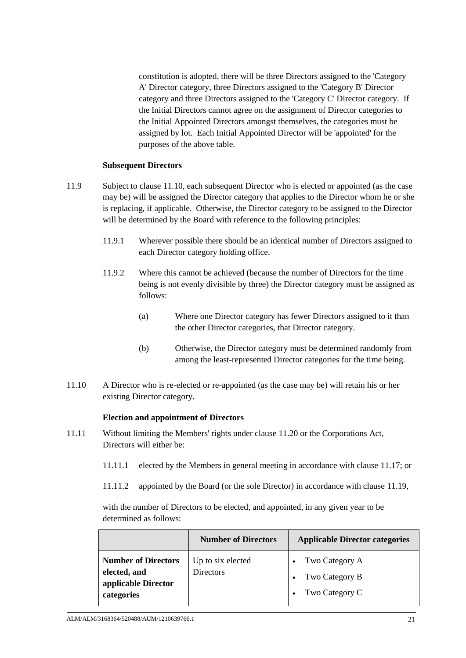constitution is adopted, there will be three Directors assigned to the 'Category A' Director category, three Directors assigned to the 'Category B' Director category and three Directors assigned to the 'Category C' Director category. If the Initial Directors cannot agree on the assignment of Director categories to the Initial Appointed Directors amongst themselves, the categories must be assigned by lot. Each Initial Appointed Director will be 'appointed' for the purposes of the above table.

#### **Subsequent Directors**

- <span id="page-24-2"></span>11.9 Subject to clause [11.10,](#page-24-0) each subsequent Director who is elected or appointed (as the case may be) will be assigned the Director category that applies to the Director whom he or she is replacing, if applicable. Otherwise, the Director category to be assigned to the Director will be determined by the Board with reference to the following principles:
	- 11.9.1 Wherever possible there should be an identical number of Directors assigned to each Director category holding office.
	- 11.9.2 Where this cannot be achieved (because the number of Directors for the time being is not evenly divisible by three) the Director category must be assigned as follows:
		- (a) Where one Director category has fewer Directors assigned to it than the other Director categories, that Director category.
		- (b) Otherwise, the Director category must be determined randomly from among the least-represented Director categories for the time being.
- <span id="page-24-0"></span>11.10 A Director who is re-elected or re-appointed (as the case may be) will retain his or her existing Director category.

#### **Election and appointment of Directors**

- <span id="page-24-1"></span>11.11 Without limiting the Members' rights under clause [11.20](#page-28-1) or the Corporations Act, Directors will either be:
	- 11.11.1 elected by the Members in general meeting in accordance with clause [11.17;](#page-26-3) or
	- 11.11.2 appointed by the Board (or the sole Director) in accordance with clause [11.19,](#page-28-0)

with the number of Directors to be elected, and appointed, in any given year to be determined as follows:

|                                                                                 | <b>Number of Directors</b>            | <b>Applicable Director categories</b>                               |
|---------------------------------------------------------------------------------|---------------------------------------|---------------------------------------------------------------------|
| <b>Number of Directors</b><br>elected, and<br>applicable Director<br>categories | Up to six elected<br><b>Directors</b> | • Two Category $A$<br>Two Category B<br>Two Category C<br>$\bullet$ |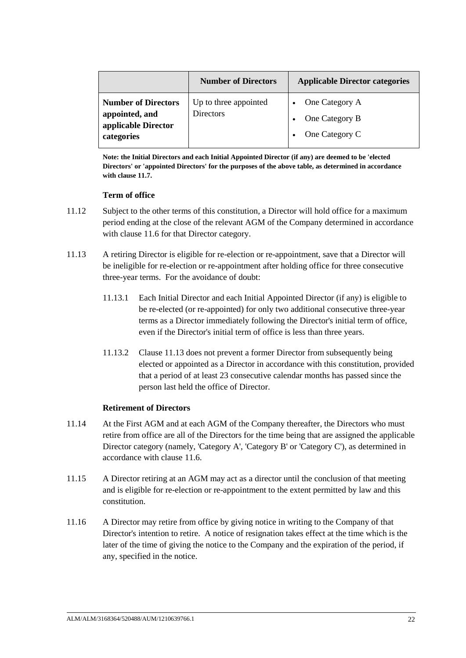|                                                                                   | <b>Number of Directors</b>         | <b>Applicable Director categories</b>              |
|-----------------------------------------------------------------------------------|------------------------------------|----------------------------------------------------|
| <b>Number of Directors</b><br>appointed, and<br>applicable Director<br>categories | Up to three appointed<br>Directors | One Category A<br>One Category B<br>One Category C |

Directors' or 'appointed Directors' for the purposes of the above table, as determined in accordance **Note: the Initial Directors and each Initial Appointed Director (if any) are deemed to be 'elected with clause [11.7.](#page-23-1)**

### **Term of office**

- 11.12 Subject to the other terms of this constitution, a Director will hold office for a maximum period ending at the close of the relevant AGM of the Company determined in accordance with clause [11.6](#page-22-0) for that Director category.
- <span id="page-25-0"></span>11.13 A retiring Director is eligible for re-election or re-appointment, save that a Director will be ineligible for re-election or re-appointment after holding office for three consecutive three-year terms. For the avoidance of doubt:
	- 11.13.1 Each Initial Director and each Initial Appointed Director (if any) is eligible to be re-elected (or re-appointed) for only two additional consecutive three-year terms as a Director immediately following the Director's initial term of office, even if the Director's initial term of office is less than three years.
	- 11.13.2 Clause [11.13](#page-25-0) does not prevent a former Director from subsequently being elected or appointed as a Director in accordance with this constitution, provided that a period of at least 23 consecutive calendar months has passed since the person last held the office of Director.

# **Retirement of Directors**

- 11.14 At the First AGM and at each AGM of the Company thereafter, the Directors who must retire from office are all of the Directors for the time being that are assigned the applicable Director category (namely, 'Category A', 'Category B' or 'Category C'), as determined in accordance with clause [11.6.](#page-22-0)
- 11.15 A Director retiring at an AGM may act as a director until the conclusion of that meeting and is eligible for re-election or re-appointment to the extent permitted by law and this constitution.
- 11.16 A Director may retire from office by giving notice in writing to the Company of that Director's intention to retire. A notice of resignation takes effect at the time which is the later of the time of giving the notice to the Company and the expiration of the period, if any, specified in the notice.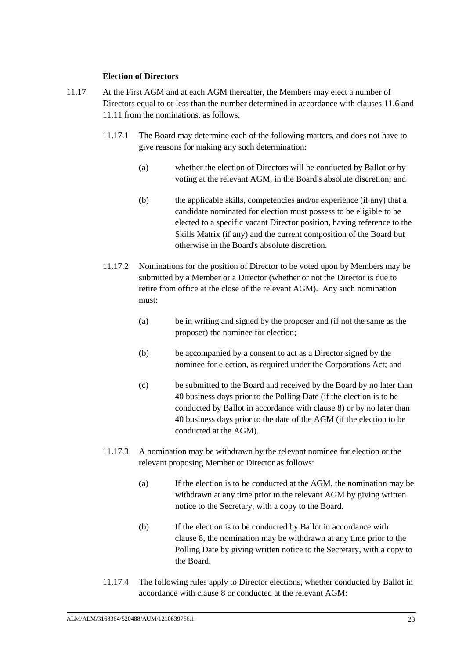### **Election of Directors**

- <span id="page-26-4"></span><span id="page-26-3"></span><span id="page-26-2"></span><span id="page-26-1"></span><span id="page-26-0"></span>11.17 At the First AGM and at each AGM thereafter, the Members may elect a number of Directors equal to or less than the number determined in accordance with clauses [11.6](#page-22-0) and [11.11](#page-24-1) from the nominations, as follows:
	- 11.17.1 The Board may determine each of the following matters, and does not have to give reasons for making any such determination:
		- (a) whether the election of Directors will be conducted by Ballot or by voting at the relevant AGM, in the Board's absolute discretion; and
		- (b) the applicable skills, competencies and/or experience (if any) that a candidate nominated for election must possess to be eligible to be elected to a specific vacant Director position, having reference to the Skills Matrix (if any) and the current composition of the Board but otherwise in the Board's absolute discretion.
	- 11.17.2 Nominations for the position of Director to be voted upon by Members may be submitted by a Member or a Director (whether or not the Director is due to retire from office at the close of the relevant AGM). Any such nomination must:
		- (a) be in writing and signed by the proposer and (if not the same as the proposer) the nominee for election;
		- (b) be accompanied by a consent to act as a Director signed by the nominee for election, as required under the Corporations Act; and
		- (c) be submitted to the Board and received by the Board by no later than 40 business days prior to the Polling Date (if the election is to be conducted by Ballot in accordance with clause [8\)](#page-15-0) or by no later than 40 business days prior to the date of the AGM (if the election to be conducted at the AGM).
	- 11.17.3 A nomination may be withdrawn by the relevant nominee for election or the relevant proposing Member or Director as follows:
		- (a) If the election is to be conducted at the AGM, the nomination may be withdrawn at any time prior to the relevant AGM by giving written notice to the Secretary, with a copy to the Board.
		- (b) If the election is to be conducted by Ballot in accordance with clause [8,](#page-15-0) the nomination may be withdrawn at any time prior to the Polling Date by giving written notice to the Secretary, with a copy to the Board.
	- 11.17.4 The following rules apply to Director elections, whether conducted by Ballot in accordance with clause [8](#page-15-0) or conducted at the relevant AGM: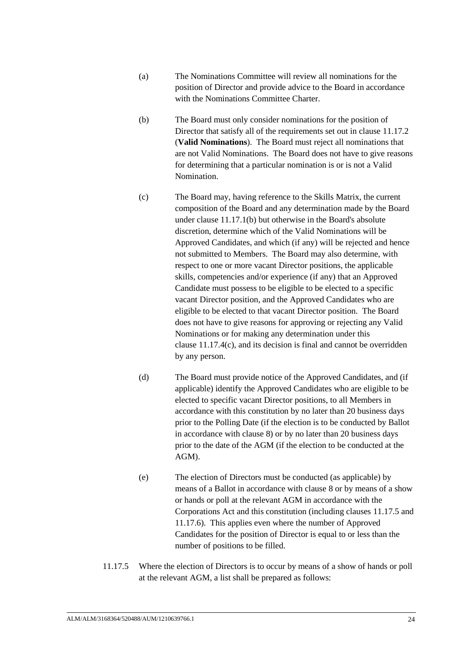- (a) The Nominations Committee will review all nominations for the position of Director and provide advice to the Board in accordance with the Nominations Committee Charter.
- <span id="page-27-2"></span>for determining that a particular nomination is or is not a Valid (b) The Board must only consider nominations for the position of Director that satisfy all of the requirements set out in clause [11.17.2](#page-26-0) (**Valid Nominations**). The Board must reject all nominations that are not Valid Nominations. The Board does not have to give reasons Nomination.
- <span id="page-27-0"></span>(c) The Board may, having reference to the Skills Matrix, the current composition of the Board and any determination made by the Board under clause [11.17.1\(b\)](#page-26-4) but otherwise in the Board's absolute discretion, determine which of the Valid Nominations will be Approved Candidates, and which (if any) will be rejected and hence not submitted to Members. The Board may also determine, with respect to one or more vacant Director positions, the applicable skills, competencies and/or experience (if any) that an Approved Candidate must possess to be eligible to be elected to a specific vacant Director position, and the Approved Candidates who are eligible to be elected to that vacant Director position. The Board does not have to give reasons for approving or rejecting any Valid Nominations or for making any determination under this clause [11.17.4\(c\),](#page-27-0) and its decision is final and cannot be overridden by any person.
- (d) The Board must provide notice of the Approved Candidates, and (if applicable) identify the Approved Candidates who are eligible to be elected to specific vacant Director positions, to all Members in accordance with this constitution by no later than 20 business days prior to the Polling Date (if the election is to be conducted by Ballot in accordance with clause [8\)](#page-15-0) or by no later than 20 business days prior to the date of the AGM (if the election to be conducted at the AGM).
- (e) The election of Directors must be conducted (as applicable) by means of a Ballot in accordance with clause [8](#page-15-0) or by means of a show or hands or poll at the relevant AGM in accordance with the Corporations Act and this constitution (including clauses [11.17.5](#page-27-1) and [11.17.6\)](#page-28-2). This applies even where the number of Approved Candidates for the position of Director is equal to or less than the number of positions to be filled.
- <span id="page-27-1"></span>11.17.5 Where the election of Directors is to occur by means of a show of hands or poll at the relevant AGM, a list shall be prepared as follows: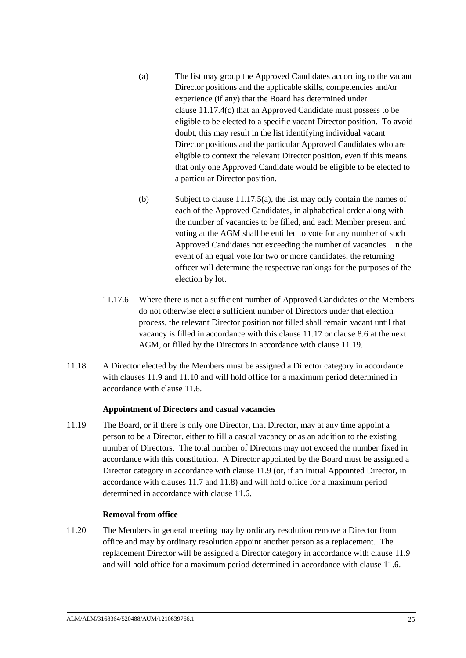- <span id="page-28-3"></span>that only one Approved Candidate would be eligible to be elected to (a) The list may group the Approved Candidates according to the vacant Director positions and the applicable skills, competencies and/or experience (if any) that the Board has determined under clause [11.17.4\(c\)](#page-27-0) that an Approved Candidate must possess to be eligible to be elected to a specific vacant Director position. To avoid doubt, this may result in the list identifying individual vacant Director positions and the particular Approved Candidates who are eligible to context the relevant Director position, even if this means a particular Director position.
- (b) Subject to clause [11.17.5\(a\),](#page-28-3) the list may only contain the names of each of the Approved Candidates, in alphabetical order along with the number of vacancies to be filled, and each Member present and voting at the AGM shall be entitled to vote for any number of such Approved Candidates not exceeding the number of vacancies. In the event of an equal vote for two or more candidates, the returning officer will determine the respective rankings for the purposes of the election by lot.
- <span id="page-28-2"></span>11.17.6 Where there is not a sufficient number of Approved Candidates or the Members do not otherwise elect a sufficient number of Directors under that election process, the relevant Director position not filled shall remain vacant until that vacancy is filled in accordance with this clause [11.17](#page-26-3) or clause [8.6](#page-17-0) at the next AGM, or filled by the Directors in accordance with clause [11.19.](#page-28-0)
- 11.18 A Director elected by the Members must be assigned a Director category in accordance with clauses [11.9](#page-24-2) an[d 11.10](#page-24-0) and will hold office for a maximum period determined in accordance with clause [11.6.](#page-22-0)

# **Appointment of Directors and casual vacancies**

<span id="page-28-0"></span>11.19 The Board, or if there is only one Director, that Director, may at any time appoint a person to be a Director, either to fill a casual vacancy or as an addition to the existing number of Directors. The total number of Directors may not exceed the number fixed in accordance with this constitution. A Director appointed by the Board must be assigned a Director category in accordance with clause [11.9](#page-24-2) (or, if an Initial Appointed Director, in accordance with clauses [11.7](#page-23-1) and [11.8\)](#page-23-0) and will hold office for a maximum period determined in accordance with clause [11.6.](#page-22-0)

#### **Removal from office**

<span id="page-28-1"></span>11.20 The Members in general meeting may by ordinary resolution remove a Director from office and may by ordinary resolution appoint another person as a replacement. The replacement Director will be assigned a Director category in accordance with clause [11.9](#page-24-2) and will hold office for a maximum period determined in accordance with clause [11.6.](#page-22-0)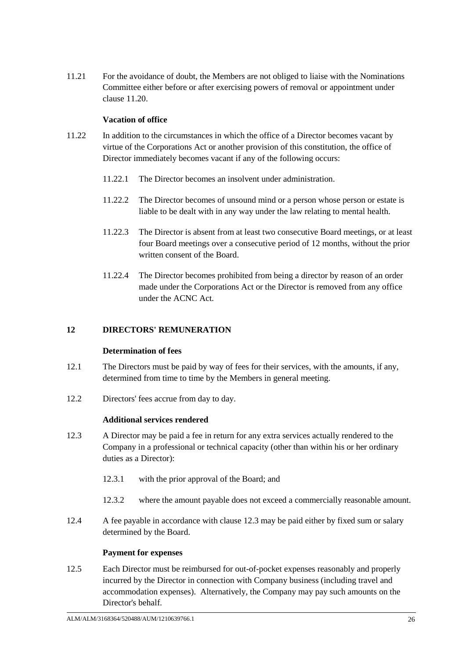11.21 For the avoidance of doubt, the Members are not obliged to liaise with the Nominations Committee either before or after exercising powers of removal or appointment under clause [11.20.](#page-28-1)

# **Vacation of office**

- 11.22 In addition to the circumstances in which the office of a Director becomes vacant by virtue of the Corporations Act or another provision of this constitution, the office of Director immediately becomes vacant if any of the following occurs:
	- 11.22.1 The Director becomes an insolvent under administration.
	- 11.22.2 The Director becomes of unsound mind or a person whose person or estate is liable to be dealt with in any way under the law relating to mental health.
	- 11.22.3 The Director is absent from at least two consecutive Board meetings, or at least four Board meetings over a consecutive period of 12 months, without the prior written consent of the Board.
	- 11.22.4 The Director becomes prohibited from being a director by reason of an order made under the Corporations Act or the Director is removed from any office under the ACNC Act.

# **12 DIRECTORS' REMUNERATION**

#### **Determination of fees**

- <span id="page-29-0"></span>12.1 The Directors must be paid by way of fees for their services, with the amounts, if any, determined from time to time by the Members in general meeting.
- 12.2 Directors' fees accrue from day to day.

#### **Additional services rendered**

- <span id="page-29-1"></span>12.3 A Director may be paid a fee in return for any extra services actually rendered to the Company in a professional or technical capacity (other than within his or her ordinary duties as a Director):
	- 12.3.1 with the prior approval of the Board; and
	- 12.3.2 where the amount payable does not exceed a commercially reasonable amount.
- 12.4 A fee payable in accordance with clause [12.3](#page-29-1) may be paid either by fixed sum or salary determined by the Board.

#### **Payment for expenses**

12.5 Each Director must be reimbursed for out-of-pocket expenses reasonably and properly incurred by the Director in connection with Company business (including travel and accommodation expenses). Alternatively, the Company may pay such amounts on the Director's behalf.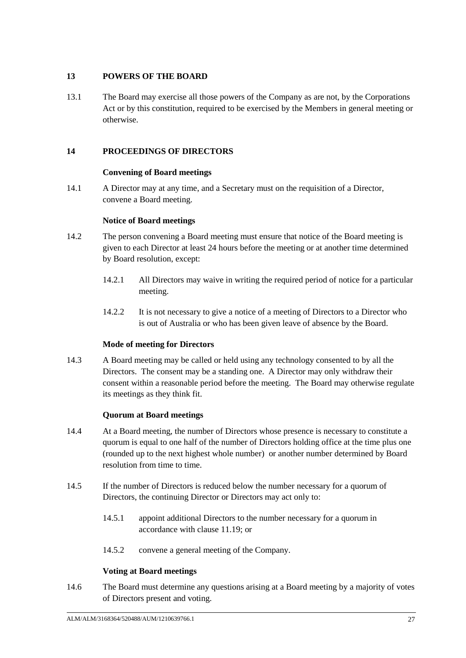# **13 POWERS OF THE BOARD**

13.1 The Board may exercise all those powers of the Company as are not, by the Corporations Act or by this constitution, required to be exercised by the Members in general meeting or otherwise.

# <span id="page-30-0"></span>**14 PROCEEDINGS OF DIRECTORS**

# **Convening of Board meetings**

14.1 A Director may at any time, and a Secretary must on the requisition of a Director, convene a Board meeting.

# **Notice of Board meetings**

- 14.2 The person convening a Board meeting must ensure that notice of the Board meeting is given to each Director at least 24 hours before the meeting or at another time determined by Board resolution, except:
	- 14.2.1 All Directors may waive in writing the required period of notice for a particular meeting.
	- 14.2.2 It is not necessary to give a notice of a meeting of Directors to a Director who is out of Australia or who has been given leave of absence by the Board.

# **Mode of meeting for Directors**

14.3 A Board meeting may be called or held using any technology consented to by all the Directors. The consent may be a standing one. A Director may only withdraw their consent within a reasonable period before the meeting. The Board may otherwise regulate its meetings as they think fit.

# **Quorum at Board meetings**

- 14.4 At a Board meeting, the number of Directors whose presence is necessary to constitute a quorum is equal to one half of the number of Directors holding office at the time plus one (rounded up to the next highest whole number) or another number determined by Board resolution from time to time.
- 14.5 If the number of Directors is reduced below the number necessary for a quorum of Directors, the continuing Director or Directors may act only to:
	- 14.5.1 appoint additional Directors to the number necessary for a quorum in accordance with clause [11.19;](#page-28-0) or
	- 14.5.2 convene a general meeting of the Company.

# **Voting at Board meetings**

14.6 The Board must determine any questions arising at a Board meeting by a majority of votes of Directors present and voting.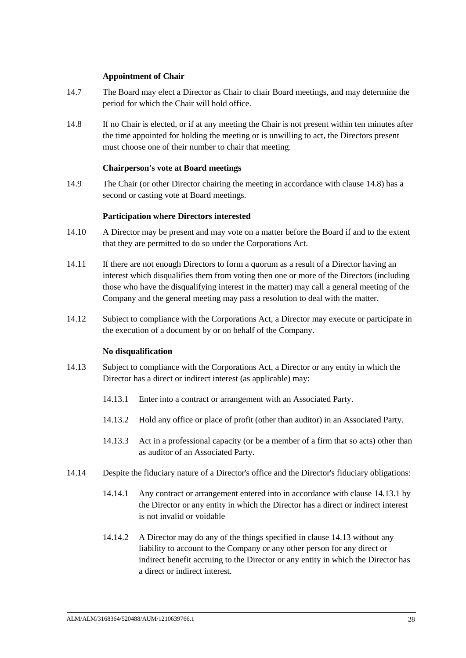### **Appointment of Chair**

- <span id="page-31-0"></span>14.7 The Board may elect a Director as Chair to chair Board meetings, and may determine the period for which the Chair will hold office.
- <span id="page-31-1"></span>14.8 If no Chair is elected, or if at any meeting the Chair is not present within ten minutes after the time appointed for holding the meeting or is unwilling to act, the Directors present must choose one of their number to chair that meeting.

#### **Chairperson's vote at Board meetings**

14.9 The Chair (or other Director chairing the meeting in accordance with clause [14.8\)](#page-31-1) has a second or casting vote at Board meetings.

### **Participation where Directors interested**

- 14.10 A Director may be present and may vote on a matter before the Board if and to the extent that they are permitted to do so under the Corporations Act.
- 14.11 If there are not enough Directors to form a quorum as a result of a Director having an interest which disqualifies them from voting then one or more of the Directors (including those who have the disqualifying interest in the matter) may call a general meeting of the Company and the general meeting may pass a resolution to deal with the matter.
- 14.12 Subject to compliance with the Corporations Act, a Director may execute or participate in the execution of a document by or on behalf of the Company.

#### **No disqualification**

- <span id="page-31-3"></span><span id="page-31-2"></span>14.13 Subject to compliance with the Corporations Act, a Director or any entity in which the Director has a direct or indirect interest (as applicable) may:
	- 14.13.1 Enter into a contract or arrangement with an Associated Party.
	- 14.13.2 Hold any office or place of profit (other than auditor) in an Associated Party.
	- 14.13.3 Act in a professional capacity (or be a member of a firm that so acts) other than as auditor of an Associated Party.
- 14.14 Despite the fiduciary nature of a Director's office and the Director's fiduciary obligations:
	- 14.14.1 Any contract or arrangement entered into in accordance with clause [14.13.1](#page-31-2) by the Director or any entity in which the Director has a direct or indirect interest is not invalid or voidable
	- 14.14.2 A Director may do any of the things specified in clause [14.13](#page-31-3) without any liability to account to the Company or any other person for any direct or indirect benefit accruing to the Director or any entity in which the Director has a direct or indirect interest.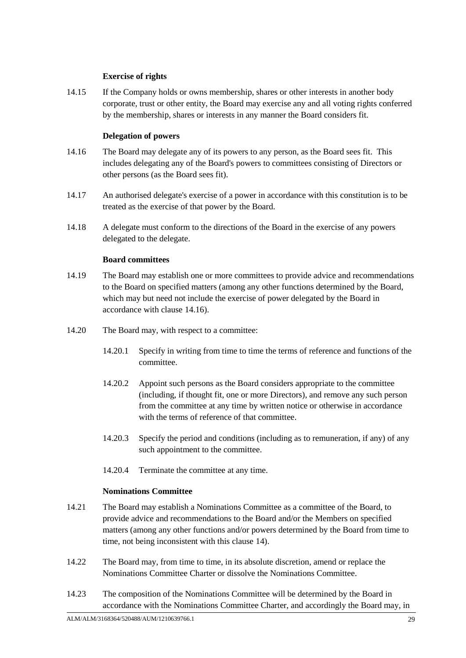# **Exercise of rights**

14.15 If the Company holds or owns membership, shares or other interests in another body corporate, trust or other entity, the Board may exercise any and all voting rights conferred by the membership, shares or interests in any manner the Board considers fit.

# **Delegation of powers**

- <span id="page-32-0"></span>includes delegating any of the Board's powers to committees consisting of Directors or 14.16 The Board may delegate any of its powers to any person, as the Board sees fit. This other persons (as the Board sees fit).
- 14.17 An authorised delegate's exercise of a power in accordance with this constitution is to be treated as the exercise of that power by the Board.
- 14.18 A delegate must conform to the directions of the Board in the exercise of any powers delegated to the delegate.

# **Board committees**

- 14.19 The Board may establish one or more committees to provide advice and recommendations to the Board on specified matters (among any other functions determined by the Board, which may but need not include the exercise of power delegated by the Board in accordance with clause [14.16\)](#page-32-0).
- 14.20 The Board may, with respect to a committee:
	- 14.20.1 Specify in writing from time to time the terms of reference and functions of the committee.
	- 14.20.2 Appoint such persons as the Board considers appropriate to the committee (including, if thought fit, one or more Directors), and remove any such person from the committee at any time by written notice or otherwise in accordance with the terms of reference of that committee.
	- 14.20.3 Specify the period and conditions (including as to remuneration, if any) of any such appointment to the committee.
	- 14.20.4 Terminate the committee at any time.

# **Nominations Committee**

- <span id="page-32-1"></span>14.21 The Board may establish a Nominations Committee as a committee of the Board, to provide advice and recommendations to the Board and/or the Members on specified matters (among any other functions and/or powers determined by the Board from time to time, not being inconsistent with this clause [14\)](#page-30-0).
- <span id="page-32-2"></span>14.22 The Board may, from time to time, in its absolute discretion, amend or replace the Nominations Committee Charter or dissolve the Nominations Committee.
- 14.23 The composition of the Nominations Committee will be determined by the Board in accordance with the Nominations Committee Charter, and accordingly the Board may, in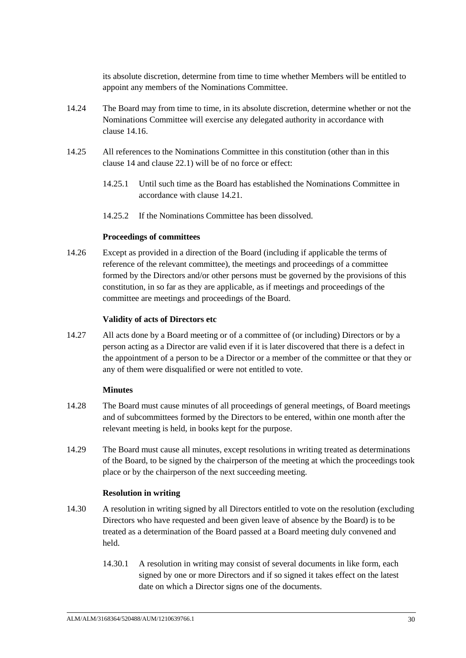its absolute discretion, determine from time to time whether Members will be entitled to appoint any members of the Nominations Committee.

- 14.24 The Board may from time to time, in its absolute discretion, determine whether or not the Nominations Committee will exercise any delegated authority in accordance with clause [14.16.](#page-32-0)
- 14.25 All references to the Nominations Committee in this constitution (other than in this clause [14](#page-30-0) and clause [22.1\)](#page-39-0) will be of no force or effect:
	- 14.25.1 Until such time as the Board has established the Nominations Committee in accordance with clause [14.21.](#page-32-1)
	- 14.25.2 If the Nominations Committee has been dissolved.

### **Proceedings of committees**

14.26 Except as provided in a direction of the Board (including if applicable the terms of reference of the relevant committee), the meetings and proceedings of a committee formed by the Directors and/or other persons must be governed by the provisions of this constitution, in so far as they are applicable, as if meetings and proceedings of the committee are meetings and proceedings of the Board.

#### **Validity of acts of Directors etc**

14.27 All acts done by a Board meeting or of a committee of (or including) Directors or by a person acting as a Director are valid even if it is later discovered that there is a defect in the appointment of a person to be a Director or a member of the committee or that they or any of them were disqualified or were not entitled to vote.

#### **Minutes**

- 14.28 The Board must cause minutes of all proceedings of general meetings, of Board meetings and of subcommittees formed by the Directors to be entered, within one month after the relevant meeting is held, in books kept for the purpose.
- 14.29 The Board must cause all minutes, except resolutions in writing treated as determinations of the Board, to be signed by the chairperson of the meeting at which the proceedings took place or by the chairperson of the next succeeding meeting.

# **Resolution in writing**

- 14.30 A resolution in writing signed by all Directors entitled to vote on the resolution (excluding Directors who have requested and been given leave of absence by the Board) is to be treated as a determination of the Board passed at a Board meeting duly convened and held.
	- 14.30.1 A resolution in writing may consist of several documents in like form, each signed by one or more Directors and if so signed it takes effect on the latest date on which a Director signs one of the documents.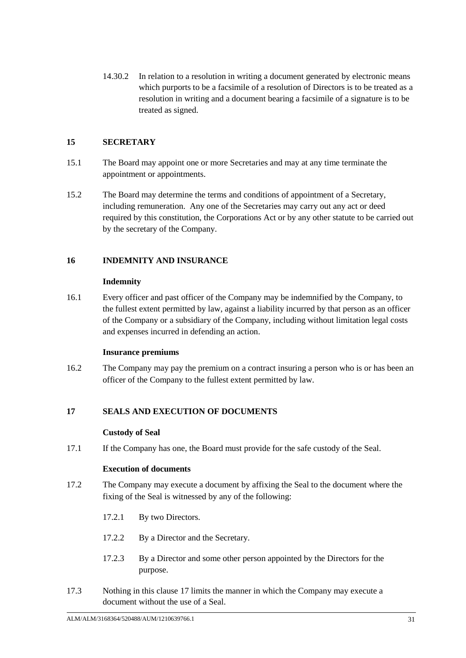14.30.2 In relation to a resolution in writing a document generated by electronic means which purports to be a facsimile of a resolution of Directors is to be treated as a resolution in writing and a document bearing a facsimile of a signature is to be treated as signed.

# **15 SECRETARY**

- 15.1 The Board may appoint one or more Secretaries and may at any time terminate the appointment or appointments.
- 15.2 The Board may determine the terms and conditions of appointment of a Secretary, including remuneration. Any one of the Secretaries may carry out any act or deed required by this constitution, the Corporations Act or by any other statute to be carried out by the secretary of the Company.

# **16 INDEMNITY AND INSURANCE**

# **Indemnity**

16.1 Every officer and past officer of the Company may be indemnified by the Company, to the fullest extent permitted by law, against a liability incurred by that person as an officer of the Company or a subsidiary of the Company, including without limitation legal costs and expenses incurred in defending an action.

# **Insurance premiums**

16.2 The Company may pay the premium on a contract insuring a person who is or has been an officer of the Company to the fullest extent permitted by law.

# <span id="page-34-0"></span>**17 SEALS AND EXECUTION OF DOCUMENTS**

# **Custody of Seal**

17.1 If the Company has one, the Board must provide for the safe custody of the Seal.

#### **Execution of documents**

- 17.2 The Company may execute a document by affixing the Seal to the document where the fixing of the Seal is witnessed by any of the following:
	- 17.2.1 By two Directors.
	- 17.2.2 By a Director and the Secretary.
	- 17.2.3 By a Director and some other person appointed by the Directors for the purpose.
- 17.3 Nothing in this clause [17](#page-34-0) limits the manner in which the Company may execute a document without the use of a Seal.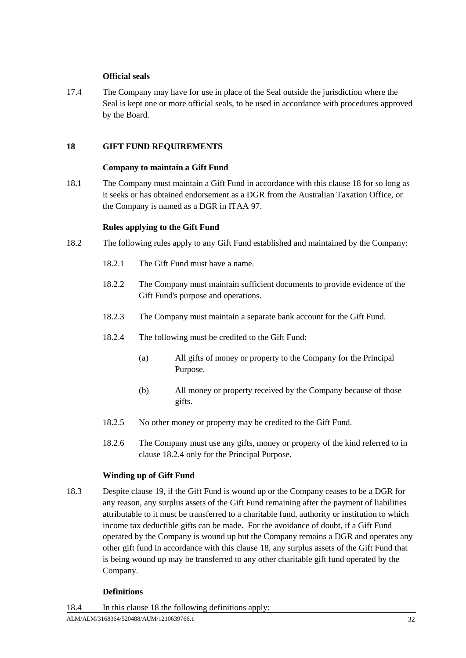# **Official seals**

17.4 The Company may have for use in place of the Seal outside the jurisdiction where the Seal is kept one or more official seals, to be used in accordance with procedures approved by the Board.

# <span id="page-35-0"></span>**18 GIFT FUND REQUIREMENTS**

### **Company to maintain a Gift Fund**

18.1 The Company must maintain a Gift Fund in accordance with this clause [18](#page-35-0) for so long as it seeks or has obtained endorsement as a DGR from the Australian Taxation Office, or the Company is named as a DGR in ITAA 97.

# **Rules applying to the Gift Fund**

- <span id="page-35-1"></span>18.2 The following rules apply to any Gift Fund established and maintained by the Company:
	- 18.2.1 The Gift Fund must have a name.
	- 18.2.2 The Company must maintain sufficient documents to provide evidence of the Gift Fund's purpose and operations.
	- 18.2.3 The Company must maintain a separate bank account for the Gift Fund.
	- 18.2.4 The following must be credited to the Gift Fund:
		- (a) All gifts of money or property to the Company for the Principal Purpose.
		- (b) All money or property received by the Company because of those gifts.
	- 18.2.5 No other money or property may be credited to the Gift Fund.
	- 18.2.6 The Company must use any gifts, money or property of the kind referred to in clause [18.2.4](#page-35-1) only for the Principal Purpose.

# **Winding up of Gift Fund**

<span id="page-35-2"></span>18.3 Despite clause [19,](#page-36-0) if the Gift Fund is wound up or the Company ceases to be a DGR for any reason, any surplus assets of the Gift Fund remaining after the payment of liabilities attributable to it must be transferred to a charitable fund, authority or institution to which income tax deductible gifts can be made. For the avoidance of doubt, if a Gift Fund operated by the Company is wound up but the Company remains a DGR and operates any other gift fund in accordance with this clause [18,](#page-35-0) any surplus assets of the Gift Fund that is being wound up may be transferred to any other charitable gift fund operated by the Company.

# **Definitions**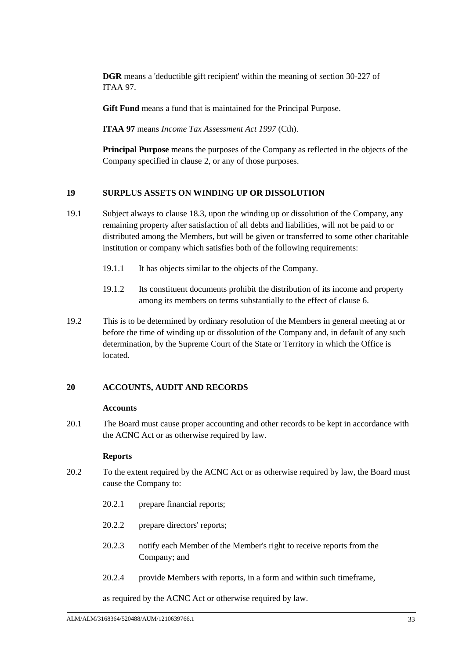**DGR** means a 'deductible gift recipient' within the meaning of section 30-227 of ITAA 97.

**Gift Fund** means a fund that is maintained for the Principal Purpose.

**ITAA 97** means *Income Tax Assessment Act 1997* (Cth).

**Principal Purpose** means the purposes of the Company as reflected in the objects of the Company specified in clause [2,](#page-4-0) or any of those purposes.

# <span id="page-36-0"></span>**19 SURPLUS ASSETS ON WINDING UP OR DISSOLUTION**

- 19.1 Subject always to clause [18.3,](#page-35-2) upon the winding up or dissolution of the Company, any remaining property after satisfaction of all debts and liabilities, will not be paid to or distributed among the Members, but will be given or transferred to some other charitable institution or company which satisfies both of the following requirements:
	- 19.1.1 It has objects similar to the objects of the Company.
	- 19.1.2 Its constituent documents prohibit the distribution of its income and property among its members on terms substantially to the effect of clause [6.](#page-10-0)
- 19.2 This is to be determined by ordinary resolution of the Members in general meeting at or before the time of winding up or dissolution of the Company and, in default of any such determination, by the Supreme Court of the State or Territory in which the Office is located.

#### **20 ACCOUNTS, AUDIT AND RECORDS**

#### **Accounts**

20.1 The Board must cause proper accounting and other records to be kept in accordance with the ACNC Act or as otherwise required by law.

#### **Reports**

- 20.2 To the extent required by the ACNC Act or as otherwise required by law, the Board must cause the Company to:
	- 20.2.1 prepare financial reports;
	- 20.2.2 prepare directors' reports;
	- 20.2.3 notify each Member of the Member's right to receive reports from the Company; and
	- 20.2.4 provide Members with reports, in a form and within such timeframe,

as required by the ACNC Act or otherwise required by law.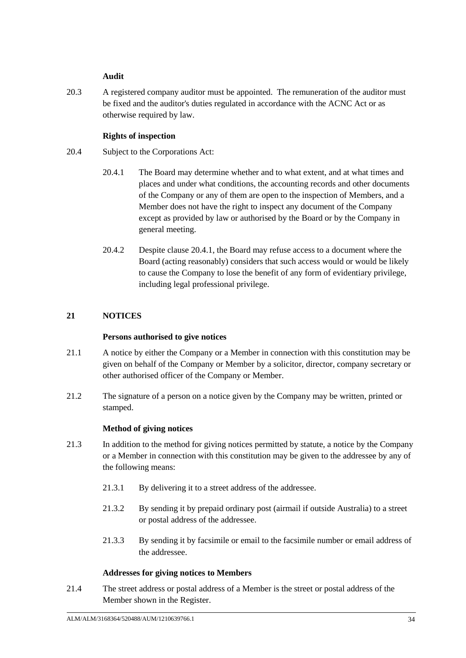# **Audit**

20.3 A registered company auditor must be appointed. The remuneration of the auditor must be fixed and the auditor's duties regulated in accordance with the ACNC Act or as otherwise required by law.

# **Rights of inspection**

- <span id="page-37-0"></span>20.4 Subject to the Corporations Act:
	- 20.4.1 The Board may determine whether and to what extent, and at what times and places and under what conditions, the accounting records and other documents of the Company or any of them are open to the inspection of Members, and a Member does not have the right to inspect any document of the Company except as provided by law or authorised by the Board or by the Company in general meeting.
	- 20.4.2 Despite clause [20.4.1,](#page-37-0) the Board may refuse access to a document where the Board (acting reasonably) considers that such access would or would be likely to cause the Company to lose the benefit of any form of evidentiary privilege, including legal professional privilege.

# **21 NOTICES**

# **Persons authorised to give notices**

- 21.1 A notice by either the Company or a Member in connection with this constitution may be given on behalf of the Company or Member by a solicitor, director, company secretary or other authorised officer of the Company or Member.
- 21.2 The signature of a person on a notice given by the Company may be written, printed or stamped.

# **Method of giving notices**

- 21.3 In addition to the method for giving notices permitted by statute, a notice by the Company or a Member in connection with this constitution may be given to the addressee by any of the following means:
	- 21.3.1 By delivering it to a street address of the addressee.
	- 21.3.2 By sending it by prepaid ordinary post (airmail if outside Australia) to a street or postal address of the addressee.
	- 21.3.3 By sending it by facsimile or email to the facsimile number or email address of the addressee.

# **Addresses for giving notices to Members**

21.4 The street address or postal address of a Member is the street or postal address of the Member shown in the Register.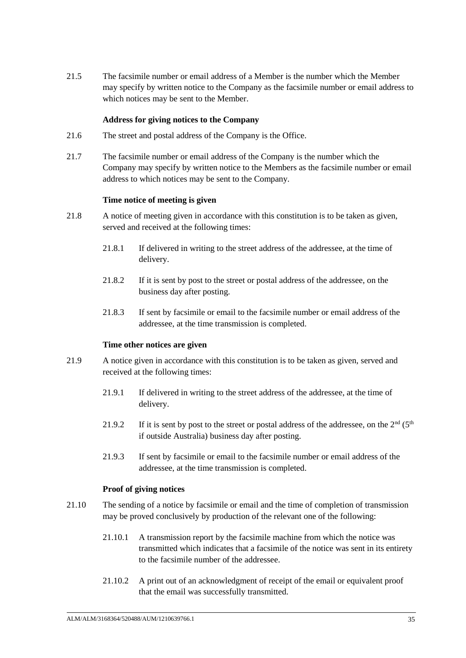21.5 The facsimile number or email address of a Member is the number which the Member may specify by written notice to the Company as the facsimile number or email address to which notices may be sent to the Member.

### **Address for giving notices to the Company**

- 21.6 The street and postal address of the Company is the Office.
- Company may specify by written notice to the Members as the facsimile number or email 21.7 The facsimile number or email address of the Company is the number which the address to which notices may be sent to the Company.

#### **Time notice of meeting is given**

- 21.8 A notice of meeting given in accordance with this constitution is to be taken as given, served and received at the following times:
	- 21.8.1 If delivered in writing to the street address of the addressee, at the time of delivery.
	- 21.8.2 If it is sent by post to the street or postal address of the addressee, on the business day after posting.
	- 21.8.3 If sent by facsimile or email to the facsimile number or email address of the addressee, at the time transmission is completed.

#### **Time other notices are given**

- 21.9 A notice given in accordance with this constitution is to be taken as given, served and received at the following times:
	- 21.9.1 If delivered in writing to the street address of the addressee, at the time of delivery.
	- 21.9.2 If it is sent by post to the street or postal address of the addressee, on the  $2<sup>nd</sup>$  (5<sup>th</sup>) if outside Australia) business day after posting.
	- 21.9.3 If sent by facsimile or email to the facsimile number or email address of the addressee, at the time transmission is completed.

#### **Proof of giving notices**

- 21.10 The sending of a notice by facsimile or email and the time of completion of transmission may be proved conclusively by production of the relevant one of the following:
	- 21.10.1 A transmission report by the facsimile machine from which the notice was transmitted which indicates that a facsimile of the notice was sent in its entirety to the facsimile number of the addressee.
	- 21.10.2 A print out of an acknowledgment of receipt of the email or equivalent proof that the email was successfully transmitted.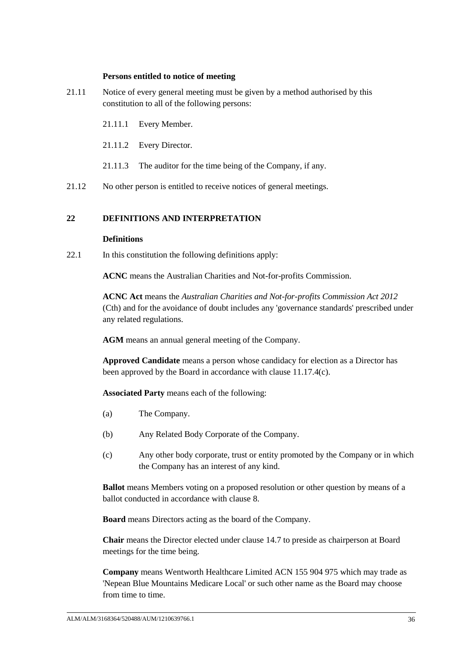#### **Persons entitled to notice of meeting**

- 21.11 Notice of every general meeting must be given by a method authorised by this constitution to all of the following persons:
	- 21.11.1 Every Member.
	- 21.11.2 Every Director.
	- 21.11.3 The auditor for the time being of the Company, if any.
- 21.12 No other person is entitled to receive notices of general meetings.

### **22 DEFINITIONS AND INTERPRETATION**

#### **Definitions**

<span id="page-39-0"></span>22.1 In this constitution the following definitions apply:

**ACNC** means the Australian Charities and Not-for-profits Commission.

**ACNC Act** means the *Australian Charities and Not-for-profits Commission Act 2012* (Cth) and for the avoidance of doubt includes any 'governance standards' prescribed under any related regulations.

**AGM** means an annual general meeting of the Company.

**Approved Candidate** means a person whose candidacy for election as a Director has been approved by the Board in accordance with clause [11.17.4\(c\).](#page-27-0)

**Associated Party** means each of the following:

- (a) The Company.
- (b) Any Related Body Corporate of the Company.
- (c) Any other body corporate, trust or entity promoted by the Company or in which the Company has an interest of any kind.

**Ballot** means Members voting on a proposed resolution or other question by means of a ballot conducted in accordance with clause [8.](#page-15-0)

**Board** means Directors acting as the board of the Company.

**Chair** means the Director elected under clause [14.7](#page-31-0) to preside as chairperson at Board meetings for the time being.

**Company** means Wentworth Healthcare Limited ACN 155 904 975 which may trade as 'Nepean Blue Mountains Medicare Local' or such other name as the Board may choose from time to time.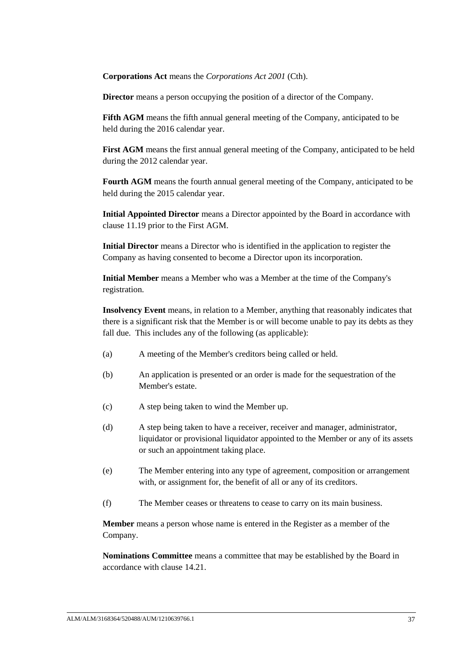**Corporations Act** means the *Corporations Act 2001* (Cth).

**Director** means a person occupying the position of a director of the Company.

**Fifth AGM** means the fifth annual general meeting of the Company, anticipated to be held during the 2016 calendar year.

**First AGM** means the first annual general meeting of the Company, anticipated to be held during the 2012 calendar year.

**Fourth AGM** means the fourth annual general meeting of the Company, anticipated to be held during the 2015 calendar year.

**Initial Appointed Director** means a Director appointed by the Board in accordance with clause [11.19](#page-28-0) prior to the First AGM.

**Initial Director** means a Director who is identified in the application to register the Company as having consented to become a Director upon its incorporation.

**Initial Member** means a Member who was a Member at the time of the Company's registration.

**Insolvency Event** means, in relation to a Member, anything that reasonably indicates that there is a significant risk that the Member is or will become unable to pay its debts as they fall due. This includes any of the following (as applicable):

- (a) A meeting of the Member's creditors being called or held.
- (b) An application is presented or an order is made for the sequestration of the Member's estate.
- (c) A step being taken to wind the Member up.
- (d) A step being taken to have a receiver, receiver and manager, administrator, liquidator or provisional liquidator appointed to the Member or any of its assets or such an appointment taking place.
- (e) The Member entering into any type of agreement, composition or arrangement with, or assignment for, the benefit of all or any of its creditors.
- (f) The Member ceases or threatens to cease to carry on its main business.

**Member** means a person whose name is entered in the Register as a member of the Company.

**Nominations Committee** means a committee that may be established by the Board in accordance with clause [14.21.](#page-32-1)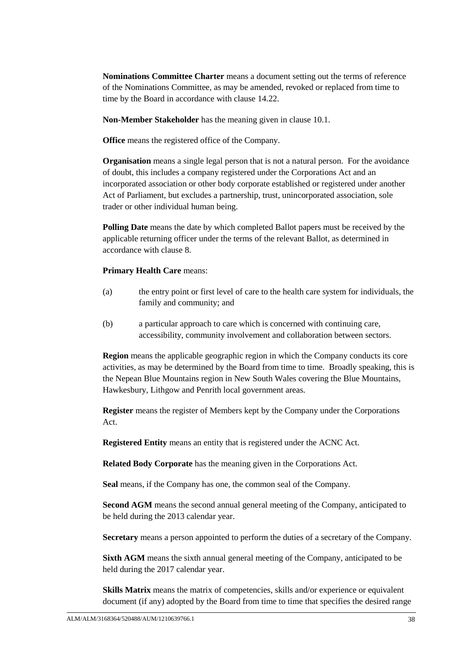**Nominations Committee Charter** means a document setting out the terms of reference of the Nominations Committee, as may be amended, revoked or replaced from time to time by the Board in accordance with clause [14.22.](#page-32-2)

**Non-Member Stakeholder** has the meaning given in clause [10.1.](#page-20-1)

**Office** means the registered office of the Company.

**Organisation** means a single legal person that is not a natural person. For the avoidance of doubt, this includes a company registered under the Corporations Act and an incorporated association or other body corporate established or registered under another Act of Parliament, but excludes a partnership, trust, unincorporated association, sole trader or other individual human being.

**Polling Date** means the date by which completed Ballot papers must be received by the applicable returning officer under the terms of the relevant Ballot, as determined in accordance with clause [8.](#page-15-0)

### **Primary Health Care** means:

- (a) the entry point or first level of care to the health care system for individuals, the family and community; and
- (b) a particular approach to care which is concerned with continuing care, accessibility, community involvement and collaboration between sectors.

**Region** means the applicable geographic region in which the Company conducts its core activities, as may be determined by the Board from time to time. Broadly speaking, this is the Nepean Blue Mountains region in New South Wales covering the Blue Mountains, Hawkesbury, Lithgow and Penrith local government areas.

**Register** means the register of Members kept by the Company under the Corporations Act.

**Registered Entity** means an entity that is registered under the ACNC Act.

**Related Body Corporate** has the meaning given in the Corporations Act.

**Seal** means, if the Company has one, the common seal of the Company.

**Second AGM** means the second annual general meeting of the Company, anticipated to be held during the 2013 calendar year.

**Secretary** means a person appointed to perform the duties of a secretary of the Company.

**Sixth AGM** means the sixth annual general meeting of the Company, anticipated to be held during the 2017 calendar year.

**Skills Matrix** means the matrix of competencies, skills and/or experience or equivalent document (if any) adopted by the Board from time to time that specifies the desired range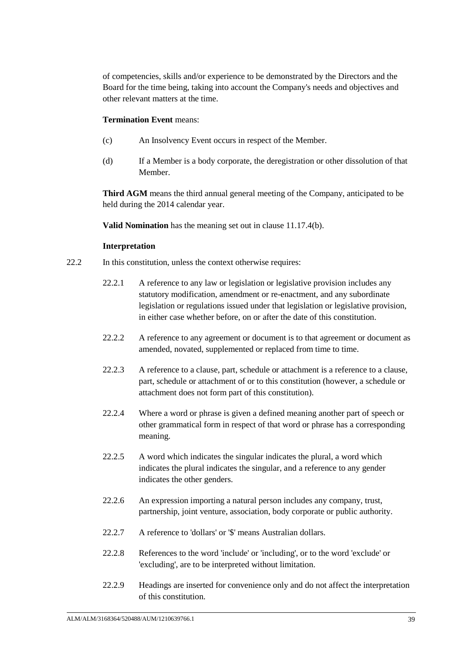of competencies, skills and/or experience to be demonstrated by the Directors and the Board for the time being, taking into account the Company's needs and objectives and other relevant matters at the time.

### **Termination Event** means:

- (c) An Insolvency Event occurs in respect of the Member.
- (d) If a Member is a body corporate, the deregistration or other dissolution of that Member.

**Third AGM** means the third annual general meeting of the Company, anticipated to be held during the 2014 calendar year.

**Valid Nomination** has the meaning set out in clause [11.17.4\(b\).](#page-27-2)

### **Interpretation**

- 22.2 In this constitution, unless the context otherwise requires:
	- 22.2.1 A reference to any law or legislation or legislative provision includes any statutory modification, amendment or re-enactment, and any subordinate legislation or regulations issued under that legislation or legislative provision, in either case whether before, on or after the date of this constitution.
	- 22.2.2 A reference to any agreement or document is to that agreement or document as amended, novated, supplemented or replaced from time to time.
	- 22.2.3 A reference to a clause, part, schedule or attachment is a reference to a clause, part, schedule or attachment of or to this constitution (however, a schedule or attachment does not form part of this constitution).
	- 22.2.4 Where a word or phrase is given a defined meaning another part of speech or other grammatical form in respect of that word or phrase has a corresponding meaning.
	- 22.2.5 A word which indicates the singular indicates the plural, a word which indicates the plural indicates the singular, and a reference to any gender indicates the other genders.
	- 22.2.6 An expression importing a natural person includes any company, trust, partnership, joint venture, association, body corporate or public authority.
	- 22.2.7 A reference to 'dollars' or '\$' means Australian dollars.
	- 22.2.8 References to the word 'include' or 'including', or to the word 'exclude' or 'excluding', are to be interpreted without limitation.
	- 22.2.9 Headings are inserted for convenience only and do not affect the interpretation of this constitution.